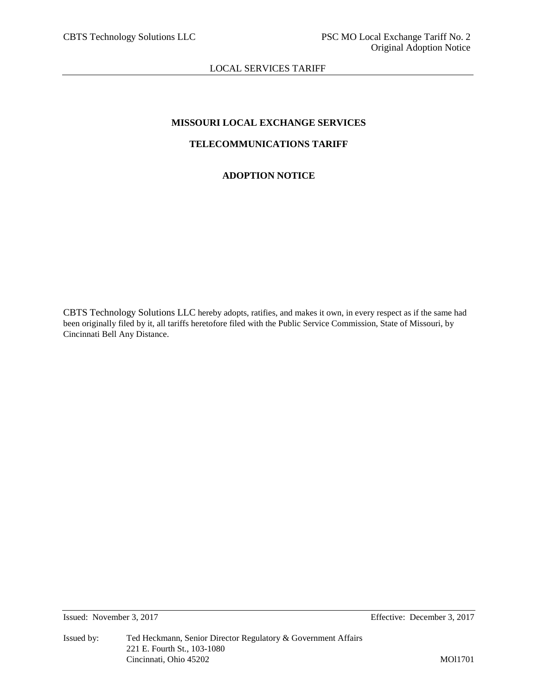LOCAL SERVICES TARIFF

# **MISSOURI LOCAL EXCHANGE SERVICES**

# **TELECOMMUNICATIONS TARIFF**

# **ADOPTION NOTICE**

CBTS Technology Solutions LLC hereby adopts, ratifies, and makes it own, in every respect as if the same had been originally filed by it, all tariffs heretofore filed with the Public Service Commission, State of Missouri, by Cincinnati Bell Any Distance.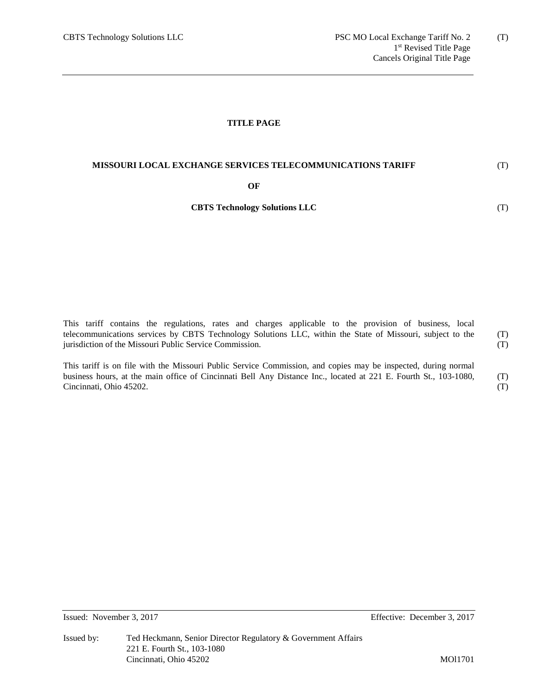### **TITLE PAGE**

### **MISSOURI LOCAL EXCHANGE SERVICES TELECOMMUNICATIONS TARIFF**

#### **OF**

# **CBTS Technology Solutions LLC**

This tariff contains the regulations, rates and charges applicable to the provision of business, local telecommunications services by CBTS Technology Solutions LLC, within the State of Missouri, subject to the jurisdiction of the Missouri Public Service Commission. (T) (T)

This tariff is on file with the Missouri Public Service Commission, and copies may be inspected, during normal business hours, at the main office of Cincinnati Bell Any Distance Inc., located at 221 E. Fourth St., 103-1080, Cincinnati, Ohio 45202. (T) (T)

Issued: November 3, 2017 Effective: December 3, 2017

(T)

(T)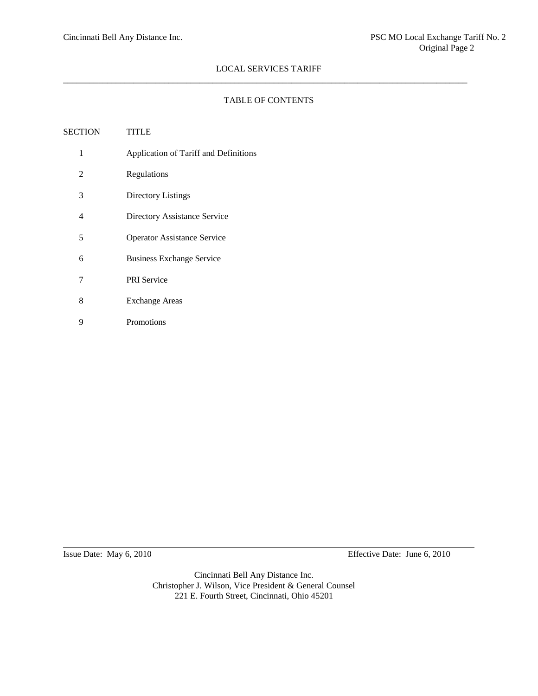### TABLE OF CONTENTS

| SECTION | <b>TITLE</b>                          |
|---------|---------------------------------------|
| 1       | Application of Tariff and Definitions |
| 2       | Regulations                           |
| 3       | Directory Listings                    |
| 4       | Directory Assistance Service          |
| 5       | <b>Operator Assistance Service</b>    |
| 6       | <b>Business Exchange Service</b>      |
| 7       | <b>PRI</b> Service                    |
| 8       | <b>Exchange Areas</b>                 |
| 9       | Promotions                            |
|         |                                       |

Issue Date: May 6, 2010 Effective Date: June 6, 2010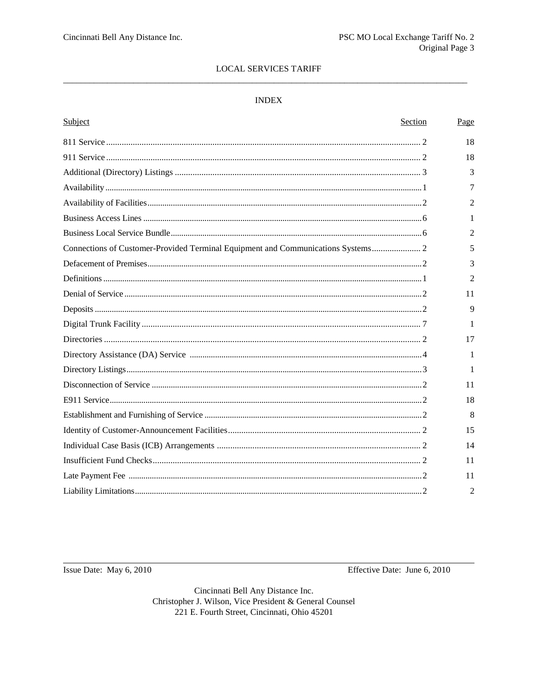# **LOCAL SERVICES TARIFF**

### $\ensuremath{\mathsf{INDEX}}$

| Subject                                                                          | Section | Page           |
|----------------------------------------------------------------------------------|---------|----------------|
|                                                                                  |         | 18             |
|                                                                                  |         | 18             |
|                                                                                  |         | 3              |
|                                                                                  |         | 7              |
|                                                                                  |         | 2              |
|                                                                                  |         | 1              |
|                                                                                  |         | $\overline{c}$ |
| Connections of Customer-Provided Terminal Equipment and Communications Systems 2 |         | 5              |
|                                                                                  |         | 3              |
|                                                                                  |         | 2              |
|                                                                                  |         | 11             |
|                                                                                  |         | $\mathbf{Q}$   |
|                                                                                  |         | 1              |
|                                                                                  |         | 17             |
|                                                                                  |         | 1              |
|                                                                                  |         | -1             |
|                                                                                  |         | 11             |
|                                                                                  |         | 18             |
|                                                                                  |         | 8              |
|                                                                                  |         | 15             |
|                                                                                  |         | 14             |
|                                                                                  |         | 11             |
|                                                                                  |         | 11             |
|                                                                                  |         | $\overline{2}$ |

Issue Date: May 6, 2010

Effective Date: June 6, 2010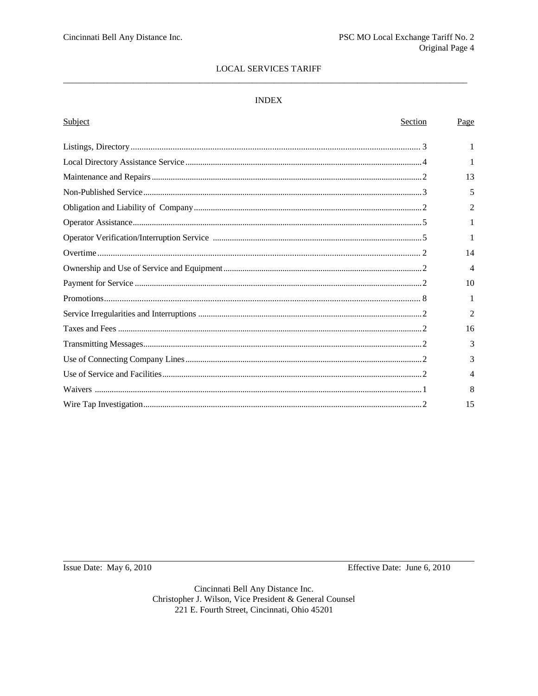# **LOCAL SERVICES TARIFF**

### $\ensuremath{\mathsf{INDEX}}$

| Subject<br>Section | Page           |
|--------------------|----------------|
|                    |                |
|                    |                |
|                    | 13             |
|                    | 5              |
|                    | $\mathfrak{D}$ |
|                    | 1              |
|                    |                |
|                    | 14             |
|                    | $\overline{4}$ |
|                    | 10             |
|                    | 1              |
|                    | 2              |
|                    | 16             |
|                    | 3              |
|                    | 3              |
|                    | 4              |
|                    | 8              |
|                    | 15             |
|                    |                |

Issue Date: May 6, 2010

Effective Date: June 6, 2010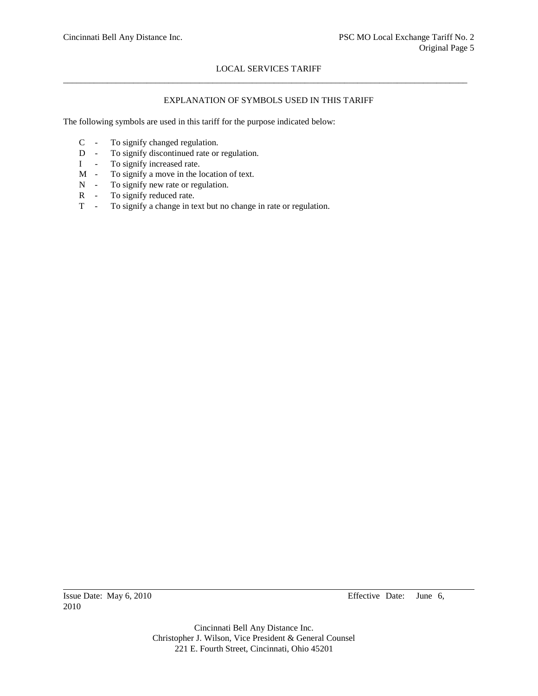# EXPLANATION OF SYMBOLS USED IN THIS TARIFF

The following symbols are used in this tariff for the purpose indicated below:

- C To signify changed regulation.
- D To signify discontinued rate or regulation.
- I To signify increased rate.
- M To signify a move in the location of text.
- N To signify new rate or regulation.
- R To signify reduced rate.
- T To signify a change in text but no change in rate or regulation.

2010

Issue Date: May 6, 2010 Effective Date: June 6,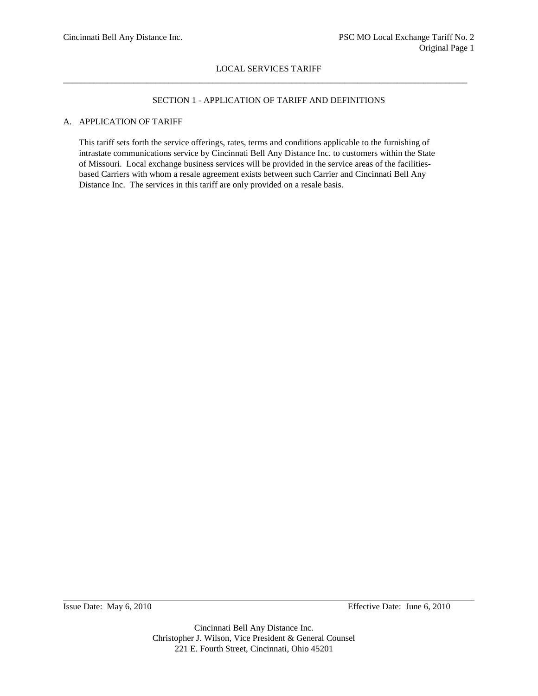# SECTION 1 - APPLICATION OF TARIFF AND DEFINITIONS

# A. APPLICATION OF TARIFF

This tariff sets forth the service offerings, rates, terms and conditions applicable to the furnishing of intrastate communications service by Cincinnati Bell Any Distance Inc. to customers within the State of Missouri. Local exchange business services will be provided in the service areas of the facilitiesbased Carriers with whom a resale agreement exists between such Carrier and Cincinnati Bell Any Distance Inc. The services in this tariff are only provided on a resale basis.

Issue Date: May 6, 2010 Effective Date: June 6, 2010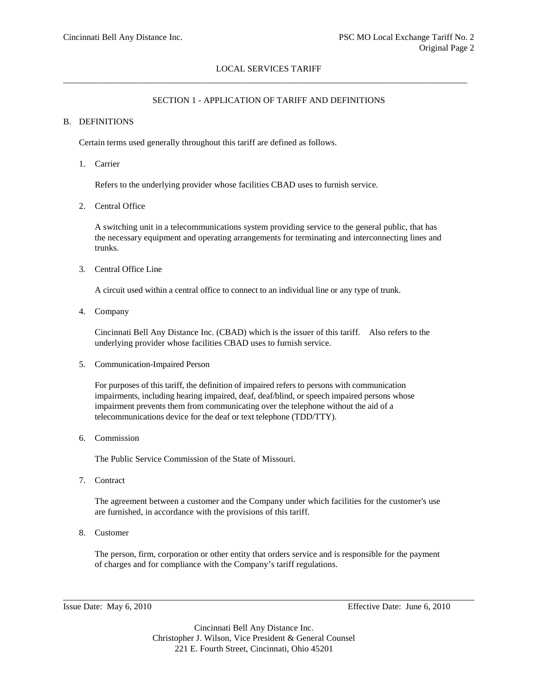# SECTION 1 - APPLICATION OF TARIFF AND DEFINITIONS

# B. DEFINITIONS

Certain terms used generally throughout this tariff are defined as follows.

1. Carrier

Refers to the underlying provider whose facilities CBAD uses to furnish service.

2. Central Office

A switching unit in a telecommunications system providing service to the general public, that has the necessary equipment and operating arrangements for terminating and interconnecting lines and trunks.

3. Central Office Line

A circuit used within a central office to connect to an individual line or any type of trunk.

4. Company

Cincinnati Bell Any Distance Inc. (CBAD) which is the issuer of this tariff. Also refers to the underlying provider whose facilities CBAD uses to furnish service.

5. Communication-Impaired Person

For purposes of this tariff, the definition of impaired refers to persons with communication impairments, including hearing impaired, deaf, deaf/blind, or speech impaired persons whose impairment prevents them from communicating over the telephone without the aid of a telecommunications device for the deaf or text telephone (TDD/TTY).

6. Commission

The Public Service Commission of the State of Missouri.

7. Contract

The agreement between a customer and the Company under which facilities for the customer's use are furnished, in accordance with the provisions of this tariff.

8. Customer

The person, firm, corporation or other entity that orders service and is responsible for the payment of charges and for compliance with the Company's tariff regulations.

Issue Date: May 6, 2010 Effective Date: June 6, 2010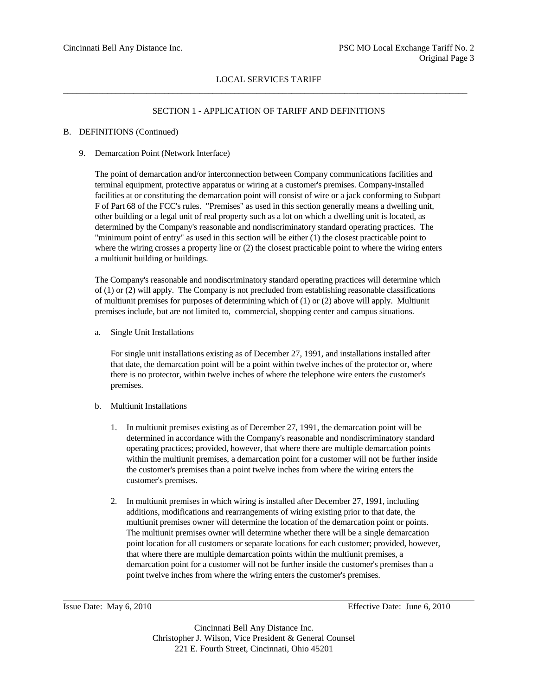# SECTION 1 - APPLICATION OF TARIFF AND DEFINITIONS

### B. DEFINITIONS (Continued)

9. Demarcation Point (Network Interface)

The point of demarcation and/or interconnection between Company communications facilities and terminal equipment, protective apparatus or wiring at a customer's premises. Company-installed facilities at or constituting the demarcation point will consist of wire or a jack conforming to Subpart F of Part 68 of the FCC's rules. "Premises" as used in this section generally means a dwelling unit, other building or a legal unit of real property such as a lot on which a dwelling unit is located, as determined by the Company's reasonable and nondiscriminatory standard operating practices. The "minimum point of entry" as used in this section will be either (1) the closest practicable point to where the wiring crosses a property line or  $(2)$  the closest practicable point to where the wiring enters a multiunit building or buildings.

The Company's reasonable and nondiscriminatory standard operating practices will determine which of (1) or (2) will apply. The Company is not precluded from establishing reasonable classifications of multiunit premises for purposes of determining which of (1) or (2) above will apply. Multiunit premises include, but are not limited to, commercial, shopping center and campus situations.

a. Single Unit Installations

For single unit installations existing as of December 27, 1991, and installations installed after that date, the demarcation point will be a point within twelve inches of the protector or, where there is no protector, within twelve inches of where the telephone wire enters the customer's premises.

- b. Multiunit Installations
	- 1. In multiunit premises existing as of December 27, 1991, the demarcation point will be determined in accordance with the Company's reasonable and nondiscriminatory standard operating practices; provided, however, that where there are multiple demarcation points within the multiunit premises, a demarcation point for a customer will not be further inside the customer's premises than a point twelve inches from where the wiring enters the customer's premises.
	- 2. In multiunit premises in which wiring is installed after December 27, 1991, including additions, modifications and rearrangements of wiring existing prior to that date, the multiunit premises owner will determine the location of the demarcation point or points. The multiunit premises owner will determine whether there will be a single demarcation point location for all customers or separate locations for each customer; provided, however, that where there are multiple demarcation points within the multiunit premises, a demarcation point for a customer will not be further inside the customer's premises than a point twelve inches from where the wiring enters the customer's premises.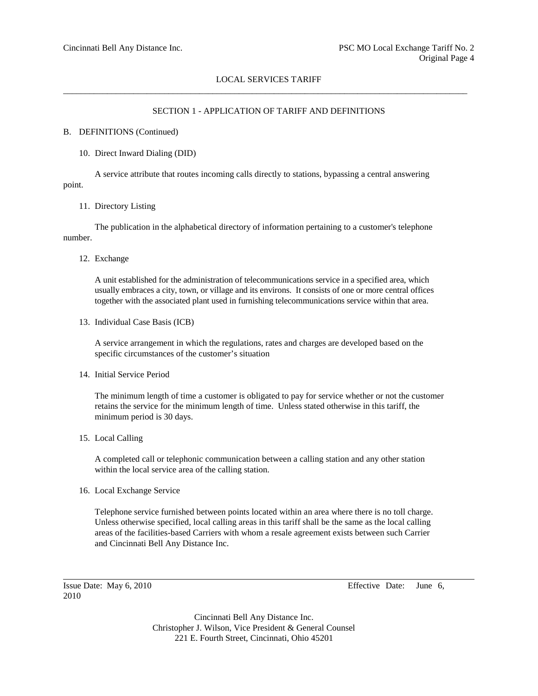## SECTION 1 - APPLICATION OF TARIFF AND DEFINITIONS

#### B. DEFINITIONS (Continued)

10. Direct Inward Dialing (DID)

A service attribute that routes incoming calls directly to stations, bypassing a central answering point.

#### 11. Directory Listing

The publication in the alphabetical directory of information pertaining to a customer's telephone number.

12. Exchange

A unit established for the administration of telecommunications service in a specified area, which usually embraces a city, town, or village and its environs. It consists of one or more central offices together with the associated plant used in furnishing telecommunications service within that area.

13. Individual Case Basis (ICB)

A service arrangement in which the regulations, rates and charges are developed based on the specific circumstances of the customer's situation

14. Initial Service Period

The minimum length of time a customer is obligated to pay for service whether or not the customer retains the service for the minimum length of time. Unless stated otherwise in this tariff, the minimum period is 30 days.

15. Local Calling

A completed call or telephonic communication between a calling station and any other station within the local service area of the calling station.

16. Local Exchange Service

Telephone service furnished between points located within an area where there is no toll charge. Unless otherwise specified, local calling areas in this tariff shall be the same as the local calling areas of the facilities-based Carriers with whom a resale agreement exists between such Carrier and Cincinnati Bell Any Distance Inc.

2010

Issue Date: May 6, 2010 Effective Date: June 6,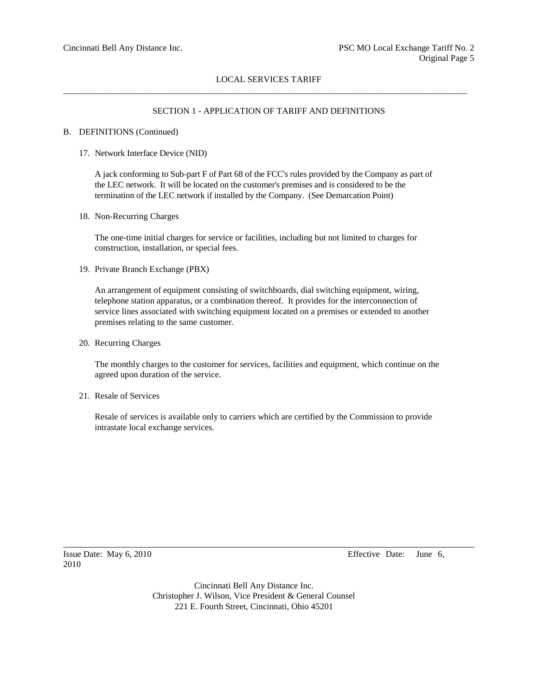## SECTION 1 - APPLICATION OF TARIFF AND DEFINITIONS

#### B. DEFINITIONS (Continued)

17. Network Interface Device (NID)

A jack conforming to Sub-part F of Part 68 of the FCC's rules provided by the Company as part of the LEC network. It will be located on the customer's premises and is considered to be the termination of the LEC network if installed by the Company. (See Demarcation Point)

18. Non-Recurring Charges

The one-time initial charges for service or facilities, including but not limited to charges for construction, installation, or special fees.

19. Private Branch Exchange (PBX)

An arrangement of equipment consisting of switchboards, dial switching equipment, wiring, telephone station apparatus, or a combination thereof. It provides for the interconnection of service lines associated with switching equipment located on a premises or extended to another premises relating to the same customer.

20. Recurring Charges

The monthly charges to the customer for services, facilities and equipment, which continue on the agreed upon duration of the service.

21. Resale of Services

Resale of services is available only to carriers which are certified by the Commission to provide intrastate local exchange services.

2010

Issue Date: May 6, 2010 Effective Date: June 6,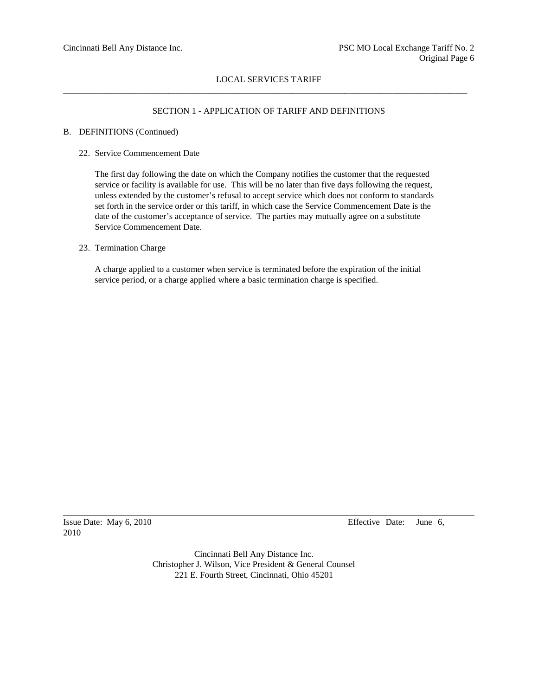## SECTION 1 - APPLICATION OF TARIFF AND DEFINITIONS

#### B. DEFINITIONS (Continued)

22. Service Commencement Date

The first day following the date on which the Company notifies the customer that the requested service or facility is available for use. This will be no later than five days following the request, unless extended by the customer's refusal to accept service which does not conform to standards set forth in the service order or this tariff, in which case the Service Commencement Date is the date of the customer's acceptance of service. The parties may mutually agree on a substitute Service Commencement Date.

### 23. Termination Charge

A charge applied to a customer when service is terminated before the expiration of the initial service period, or a charge applied where a basic termination charge is specified.

2010

Issue Date: May 6, 2010 Effective Date: June 6,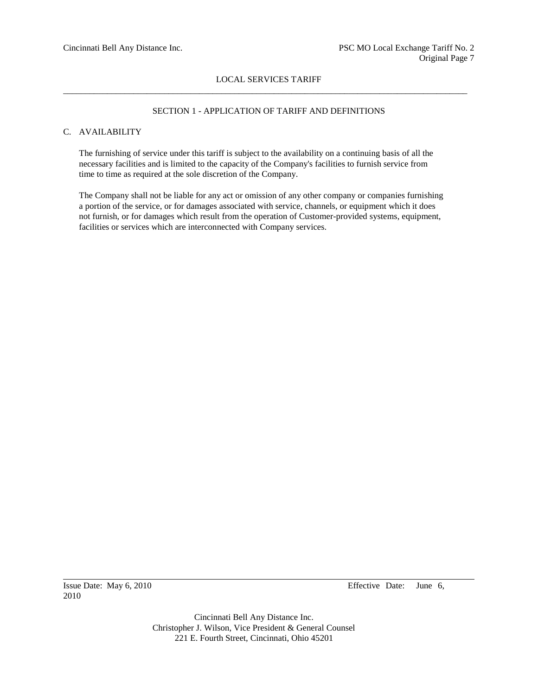## SECTION 1 - APPLICATION OF TARIFF AND DEFINITIONS

# C. AVAILABILITY

The furnishing of service under this tariff is subject to the availability on a continuing basis of all the necessary facilities and is limited to the capacity of the Company's facilities to furnish service from time to time as required at the sole discretion of the Company.

The Company shall not be liable for any act or omission of any other company or companies furnishing a portion of the service, or for damages associated with service, channels, or equipment which it does not furnish, or for damages which result from the operation of Customer-provided systems, equipment, facilities or services which are interconnected with Company services.

2010

Issue Date: May 6, 2010 Effective Date: June 6,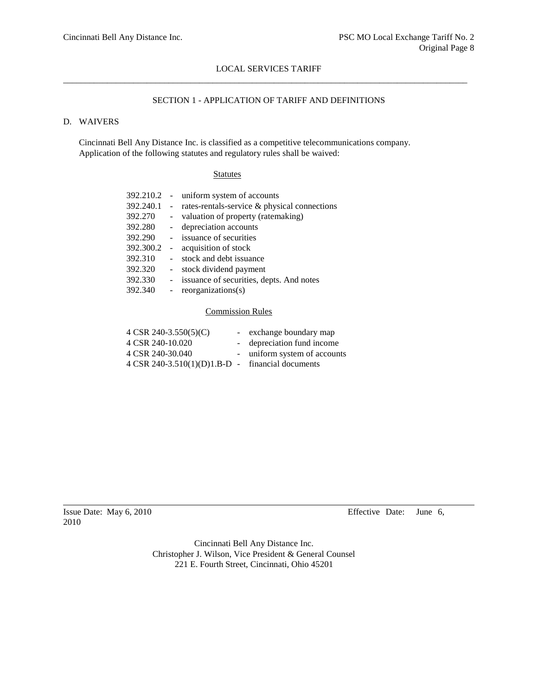## SECTION 1 - APPLICATION OF TARIFF AND DEFINITIONS

# D. WAIVERS

Cincinnati Bell Any Distance Inc. is classified as a competitive telecommunications company. Application of the following statutes and regulatory rules shall be waived:

### **Statutes**

|                 | - uniform system of accounts                 |
|-----------------|----------------------------------------------|
| $\sim 10^{-10}$ | rates-rentals-service & physical connections |
| $\sim 100$      | valuation of property (ratemaking)           |
| $\sim$          | depreciation accounts                        |
|                 | - issuance of securities                     |
| 392.300.2 -     | acquisition of stock                         |
|                 | stock and debt issuance                      |
|                 | stock dividend payment                       |
|                 | - issuance of securities, depts. And notes   |
|                 | reorganizations(s)                           |
|                 |                                              |

#### Commission Rules

| $4 \text{ CSR } 240 - 3.550(5)(C)$                            | - exchange boundary map      |
|---------------------------------------------------------------|------------------------------|
| 4 CSR 240-10.020                                              | - depreciation fund income   |
| 4 CSR 240-30.040                                              | - uniform system of accounts |
| $4 \text{ CSR } 240 - 3.510(1)(D)1.B-D$ - financial documents |                              |

2010

Issue Date: May 6, 2010 Effective Date: June 6,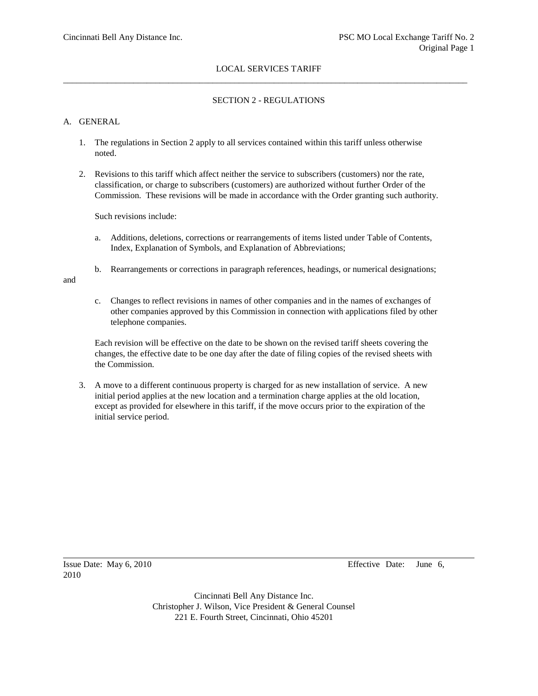## SECTION 2 - REGULATIONS

## A. GENERAL

- 1. The regulations in Section 2 apply to all services contained within this tariff unless otherwise noted.
- 2. Revisions to this tariff which affect neither the service to subscribers (customers) nor the rate, classification, or charge to subscribers (customers) are authorized without further Order of the Commission. These revisions will be made in accordance with the Order granting such authority.

Such revisions include:

- a. Additions, deletions, corrections or rearrangements of items listed under Table of Contents, Index, Explanation of Symbols, and Explanation of Abbreviations;
- b. Rearrangements or corrections in paragraph references, headings, or numerical designations;

and

c. Changes to reflect revisions in names of other companies and in the names of exchanges of other companies approved by this Commission in connection with applications filed by other telephone companies.

Each revision will be effective on the date to be shown on the revised tariff sheets covering the changes, the effective date to be one day after the date of filing copies of the revised sheets with the Commission.

3. A move to a different continuous property is charged for as new installation of service. A new initial period applies at the new location and a termination charge applies at the old location, except as provided for elsewhere in this tariff, if the move occurs prior to the expiration of the initial service period.

2010

Issue Date: May 6, 2010 Effective Date: June 6,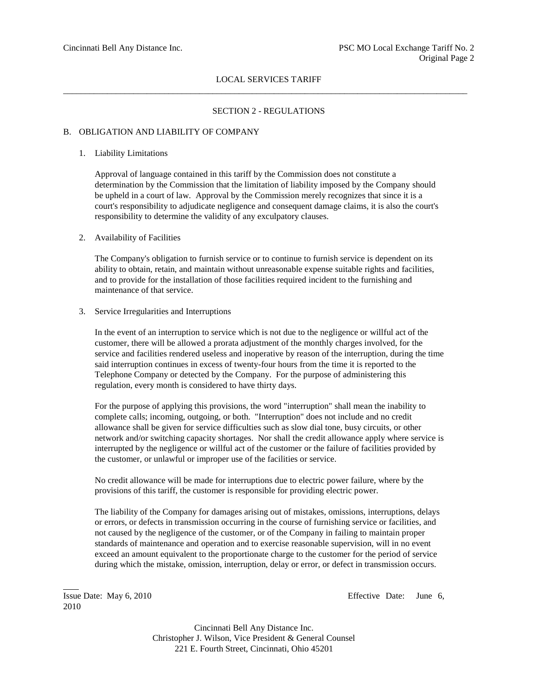## SECTION 2 - REGULATIONS

#### B. OBLIGATION AND LIABILITY OF COMPANY

#### 1. Liability Limitations

Approval of language contained in this tariff by the Commission does not constitute a determination by the Commission that the limitation of liability imposed by the Company should be upheld in a court of law. Approval by the Commission merely recognizes that since it is a court's responsibility to adjudicate negligence and consequent damage claims, it is also the court's responsibility to determine the validity of any exculpatory clauses.

#### 2. Availability of Facilities

The Company's obligation to furnish service or to continue to furnish service is dependent on its ability to obtain, retain, and maintain without unreasonable expense suitable rights and facilities, and to provide for the installation of those facilities required incident to the furnishing and maintenance of that service.

#### 3. Service Irregularities and Interruptions

In the event of an interruption to service which is not due to the negligence or willful act of the customer, there will be allowed a prorata adjustment of the monthly charges involved, for the service and facilities rendered useless and inoperative by reason of the interruption, during the time said interruption continues in excess of twenty-four hours from the time it is reported to the Telephone Company or detected by the Company. For the purpose of administering this regulation, every month is considered to have thirty days.

For the purpose of applying this provisions, the word "interruption" shall mean the inability to complete calls; incoming, outgoing, or both. "Interruption" does not include and no credit allowance shall be given for service difficulties such as slow dial tone, busy circuits, or other network and/or switching capacity shortages. Nor shall the credit allowance apply where service is interrupted by the negligence or willful act of the customer or the failure of facilities provided by the customer, or unlawful or improper use of the facilities or service.

No credit allowance will be made for interruptions due to electric power failure, where by the provisions of this tariff, the customer is responsible for providing electric power.

The liability of the Company for damages arising out of mistakes, omissions, interruptions, delays or errors, or defects in transmission occurring in the course of furnishing service or facilities, and not caused by the negligence of the customer, or of the Company in failing to maintain proper standards of maintenance and operation and to exercise reasonable supervision, will in no event exceed an amount equivalent to the proportionate charge to the customer for the period of service during which the mistake, omission, interruption, delay or error, or defect in transmission occurs.

2010

Issue Date: May 6, 2010 Effective Date: June 6,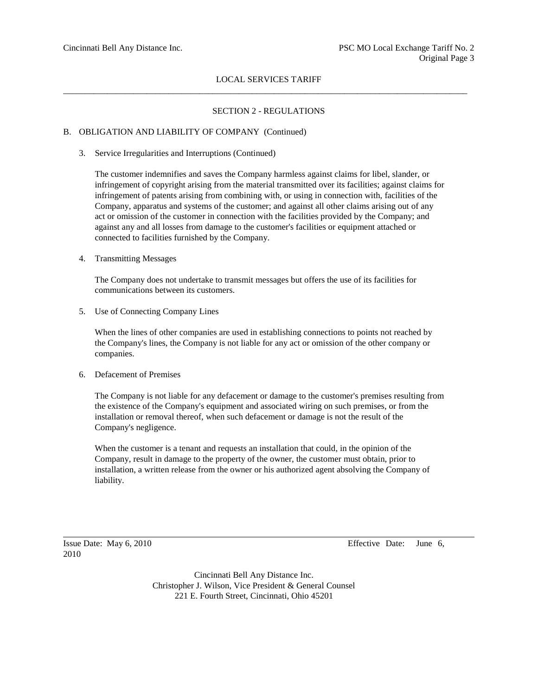# SECTION 2 - REGULATIONS

### B. OBLIGATION AND LIABILITY OF COMPANY (Continued)

3. Service Irregularities and Interruptions (Continued)

The customer indemnifies and saves the Company harmless against claims for libel, slander, or infringement of copyright arising from the material transmitted over its facilities; against claims for infringement of patents arising from combining with, or using in connection with, facilities of the Company, apparatus and systems of the customer; and against all other claims arising out of any act or omission of the customer in connection with the facilities provided by the Company; and against any and all losses from damage to the customer's facilities or equipment attached or connected to facilities furnished by the Company.

4. Transmitting Messages

The Company does not undertake to transmit messages but offers the use of its facilities for communications between its customers.

5. Use of Connecting Company Lines

When the lines of other companies are used in establishing connections to points not reached by the Company's lines, the Company is not liable for any act or omission of the other company or companies.

6. Defacement of Premises

The Company is not liable for any defacement or damage to the customer's premises resulting from the existence of the Company's equipment and associated wiring on such premises, or from the installation or removal thereof, when such defacement or damage is not the result of the Company's negligence.

When the customer is a tenant and requests an installation that could, in the opinion of the Company, result in damage to the property of the owner, the customer must obtain, prior to installation, a written release from the owner or his authorized agent absolving the Company of liability.

2010

Issue Date: May 6, 2010 Effective Date: June 6,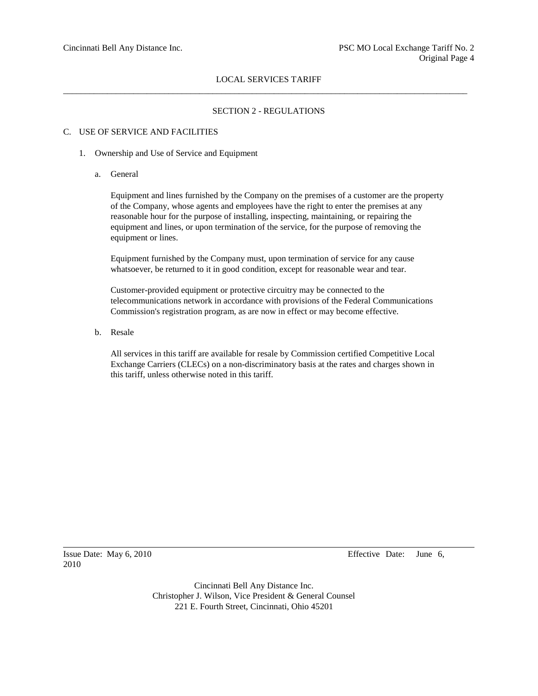## SECTION 2 - REGULATIONS

#### C. USE OF SERVICE AND FACILITIES

- 1. Ownership and Use of Service and Equipment
	- a. General

Equipment and lines furnished by the Company on the premises of a customer are the property of the Company, whose agents and employees have the right to enter the premises at any reasonable hour for the purpose of installing, inspecting, maintaining, or repairing the equipment and lines, or upon termination of the service, for the purpose of removing the equipment or lines.

Equipment furnished by the Company must, upon termination of service for any cause whatsoever, be returned to it in good condition, except for reasonable wear and tear.

Customer-provided equipment or protective circuitry may be connected to the telecommunications network in accordance with provisions of the Federal Communications Commission's registration program, as are now in effect or may become effective.

b. Resale

All services in this tariff are available for resale by Commission certified Competitive Local Exchange Carriers (CLECs) on a non-discriminatory basis at the rates and charges shown in this tariff, unless otherwise noted in this tariff.

2010

Issue Date: May 6, 2010 Effective Date: June 6,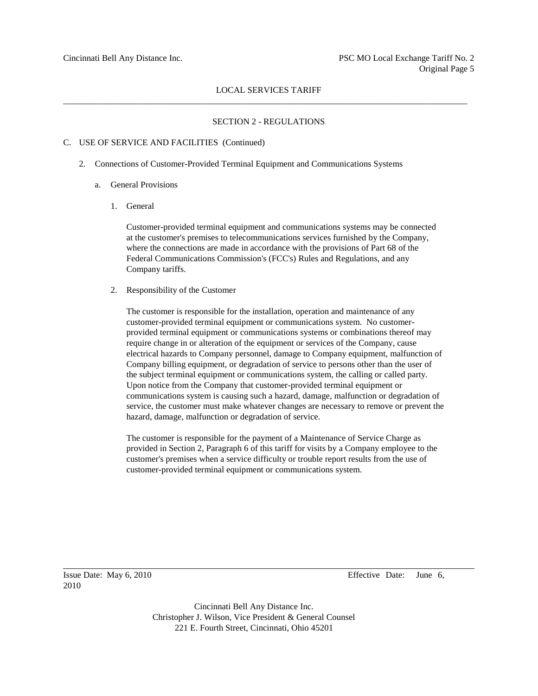### SECTION 2 - REGULATIONS

#### C. USE OF SERVICE AND FACILITIES (Continued)

- 2. Connections of Customer-Provided Terminal Equipment and Communications Systems
	- a. General Provisions
		- 1. General

Customer-provided terminal equipment and communications systems may be connected at the customer's premises to telecommunications services furnished by the Company, where the connections are made in accordance with the provisions of Part 68 of the Federal Communications Commission's (FCC's) Rules and Regulations, and any Company tariffs.

2. Responsibility of the Customer

The customer is responsible for the installation, operation and maintenance of any customer-provided terminal equipment or communications system. No customerprovided terminal equipment or communications systems or combinations thereof may require change in or alteration of the equipment or services of the Company, cause electrical hazards to Company personnel, damage to Company equipment, malfunction of Company billing equipment, or degradation of service to persons other than the user of the subject terminal equipment or communications system, the calling or called party. Upon notice from the Company that customer-provided terminal equipment or communications system is causing such a hazard, damage, malfunction or degradation of service, the customer must make whatever changes are necessary to remove or prevent the hazard, damage, malfunction or degradation of service.

The customer is responsible for the payment of a Maintenance of Service Charge as provided in Section 2, Paragraph 6 of this tariff for visits by a Company employee to the customer's premises when a service difficulty or trouble report results from the use of customer-provided terminal equipment or communications system.

2010

Issue Date: May 6, 2010 Effective Date: June 6,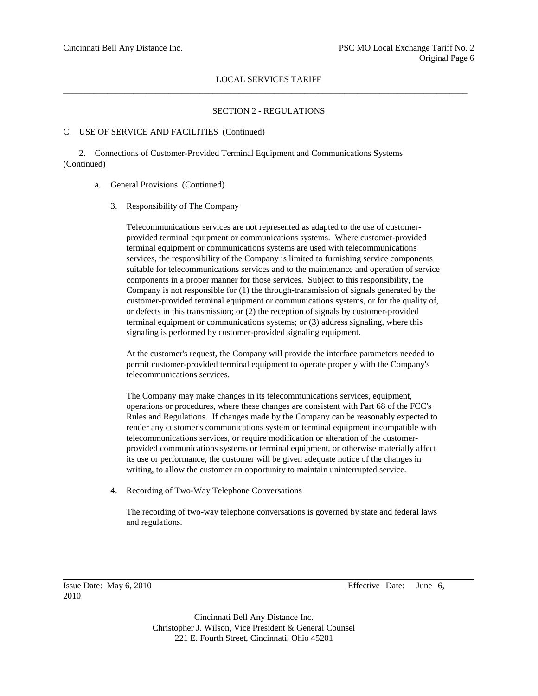# SECTION 2 - REGULATIONS

### C. USE OF SERVICE AND FACILITIES (Continued)

2. Connections of Customer-Provided Terminal Equipment and Communications Systems (Continued)

### a. General Provisions (Continued)

3. Responsibility of The Company

Telecommunications services are not represented as adapted to the use of customerprovided terminal equipment or communications systems. Where customer-provided terminal equipment or communications systems are used with telecommunications services, the responsibility of the Company is limited to furnishing service components suitable for telecommunications services and to the maintenance and operation of service components in a proper manner for those services. Subject to this responsibility, the Company is not responsible for (1) the through-transmission of signals generated by the customer-provided terminal equipment or communications systems, or for the quality of, or defects in this transmission; or (2) the reception of signals by customer-provided terminal equipment or communications systems; or (3) address signaling, where this signaling is performed by customer-provided signaling equipment.

At the customer's request, the Company will provide the interface parameters needed to permit customer-provided terminal equipment to operate properly with the Company's telecommunications services.

The Company may make changes in its telecommunications services, equipment, operations or procedures, where these changes are consistent with Part 68 of the FCC's Rules and Regulations. If changes made by the Company can be reasonably expected to render any customer's communications system or terminal equipment incompatible with telecommunications services, or require modification or alteration of the customerprovided communications systems or terminal equipment, or otherwise materially affect its use or performance, the customer will be given adequate notice of the changes in writing, to allow the customer an opportunity to maintain uninterrupted service.

4. Recording of Two-Way Telephone Conversations

The recording of two-way telephone conversations is governed by state and federal laws and regulations.

2010

Issue Date: May 6, 2010 Effective Date: June 6,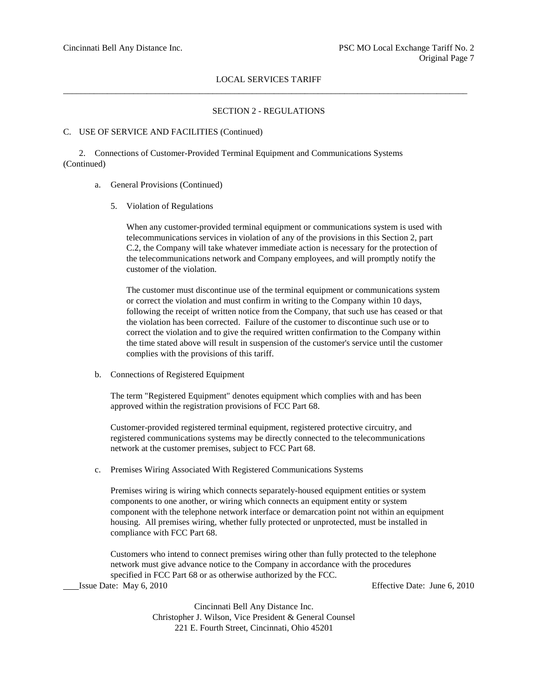# SECTION 2 - REGULATIONS

#### C. USE OF SERVICE AND FACILITIES (Continued)

2. Connections of Customer-Provided Terminal Equipment and Communications Systems (Continued)

### a. General Provisions (Continued)

5. Violation of Regulations

When any customer-provided terminal equipment or communications system is used with telecommunications services in violation of any of the provisions in this Section 2, part C.2, the Company will take whatever immediate action is necessary for the protection of the telecommunications network and Company employees, and will promptly notify the customer of the violation.

The customer must discontinue use of the terminal equipment or communications system or correct the violation and must confirm in writing to the Company within 10 days, following the receipt of written notice from the Company, that such use has ceased or that the violation has been corrected. Failure of the customer to discontinue such use or to correct the violation and to give the required written confirmation to the Company within the time stated above will result in suspension of the customer's service until the customer complies with the provisions of this tariff.

b. Connections of Registered Equipment

The term "Registered Equipment" denotes equipment which complies with and has been approved within the registration provisions of FCC Part 68.

Customer-provided registered terminal equipment, registered protective circuitry, and registered communications systems may be directly connected to the telecommunications network at the customer premises, subject to FCC Part 68.

c. Premises Wiring Associated With Registered Communications Systems

Premises wiring is wiring which connects separately-housed equipment entities or system components to one another, or wiring which connects an equipment entity or system component with the telephone network interface or demarcation point not within an equipment housing. All premises wiring, whether fully protected or unprotected, must be installed in compliance with FCC Part 68.

Customers who intend to connect premises wiring other than fully protected to the telephone network must give advance notice to the Company in accordance with the procedures specified in FCC Part 68 or as otherwise authorized by the FCC. Issue Date: May 6, 2010 Effective Date: June 6, 2010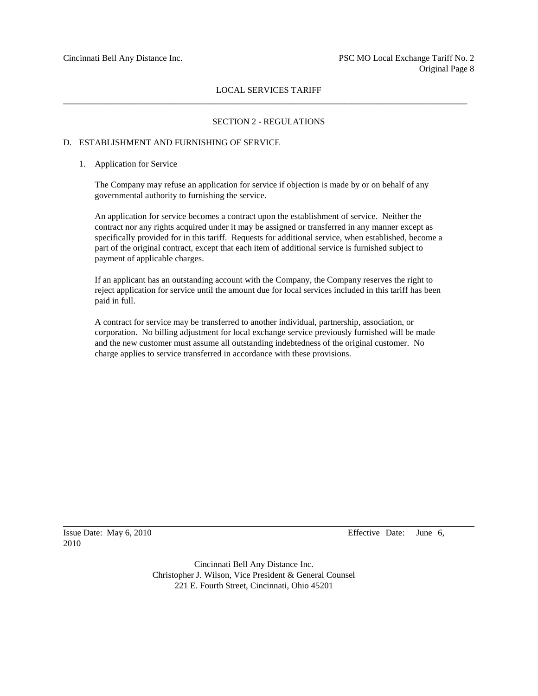### SECTION 2 - REGULATIONS

## D. ESTABLISHMENT AND FURNISHING OF SERVICE

#### 1. Application for Service

The Company may refuse an application for service if objection is made by or on behalf of any governmental authority to furnishing the service.

An application for service becomes a contract upon the establishment of service. Neither the contract nor any rights acquired under it may be assigned or transferred in any manner except as specifically provided for in this tariff. Requests for additional service, when established, become a part of the original contract, except that each item of additional service is furnished subject to payment of applicable charges.

If an applicant has an outstanding account with the Company, the Company reserves the right to reject application for service until the amount due for local services included in this tariff has been paid in full.

A contract for service may be transferred to another individual, partnership, association, or corporation. No billing adjustment for local exchange service previously furnished will be made and the new customer must assume all outstanding indebtedness of the original customer. No charge applies to service transferred in accordance with these provisions.

2010

Issue Date: May 6, 2010 Effective Date: June 6,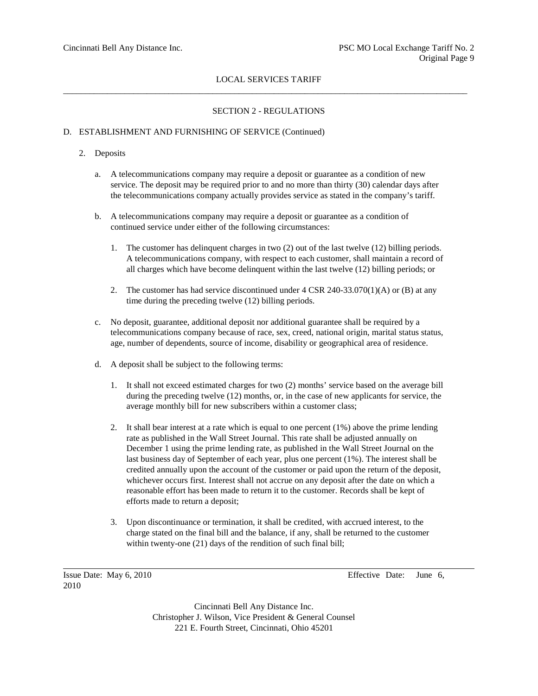# SECTION 2 - REGULATIONS

### D. ESTABLISHMENT AND FURNISHING OF SERVICE (Continued)

### 2. Deposits

- a. A telecommunications company may require a deposit or guarantee as a condition of new service. The deposit may be required prior to and no more than thirty (30) calendar days after the telecommunications company actually provides service as stated in the company's tariff.
- b. A telecommunications company may require a deposit or guarantee as a condition of continued service under either of the following circumstances:
	- 1. The customer has delinquent charges in two (2) out of the last twelve (12) billing periods. A telecommunications company, with respect to each customer, shall maintain a record of all charges which have become delinquent within the last twelve (12) billing periods; or
	- 2. The customer has had service discontinued under 4 CSR 240-33.070(1)(A) or (B) at any time during the preceding twelve (12) billing periods.
- c. No deposit, guarantee, additional deposit nor additional guarantee shall be required by a telecommunications company because of race, sex, creed, national origin, marital status status, age, number of dependents, source of income, disability or geographical area of residence.
- d. A deposit shall be subject to the following terms:
	- 1. It shall not exceed estimated charges for two (2) months' service based on the average bill during the preceding twelve (12) months, or, in the case of new applicants for service, the average monthly bill for new subscribers within a customer class;
	- 2. It shall bear interest at a rate which is equal to one percent (1%) above the prime lending rate as published in the Wall Street Journal. This rate shall be adjusted annually on December 1 using the prime lending rate, as published in the Wall Street Journal on the last business day of September of each year, plus one percent (1%). The interest shall be credited annually upon the account of the customer or paid upon the return of the deposit, whichever occurs first. Interest shall not accrue on any deposit after the date on which a reasonable effort has been made to return it to the customer. Records shall be kept of efforts made to return a deposit;
	- 3. Upon discontinuance or termination, it shall be credited, with accrued interest, to the charge stated on the final bill and the balance, if any, shall be returned to the customer within twenty-one (21) days of the rendition of such final bill;

2010

Issue Date: May 6, 2010 Effective Date: June 6,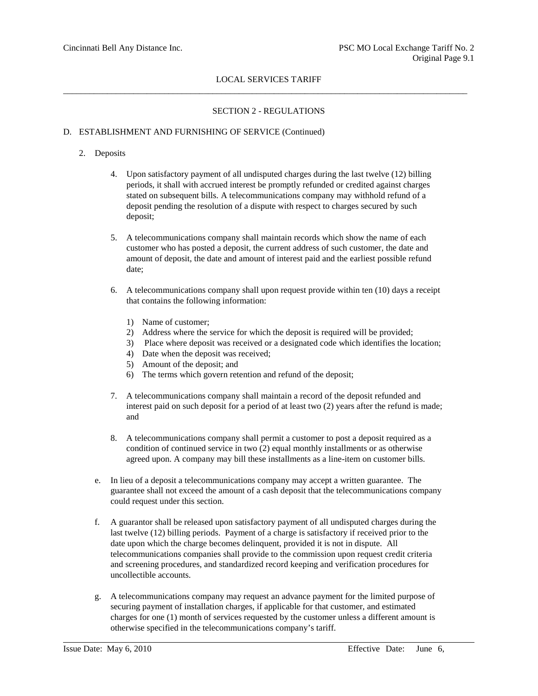# SECTION 2 - REGULATIONS

# D. ESTABLISHMENT AND FURNISHING OF SERVICE (Continued)

# 2. Deposits

- 4. Upon satisfactory payment of all undisputed charges during the last twelve (12) billing periods, it shall with accrued interest be promptly refunded or credited against charges stated on subsequent bills. A telecommunications company may withhold refund of a deposit pending the resolution of a dispute with respect to charges secured by such deposit;
- 5. A telecommunications company shall maintain records which show the name of each customer who has posted a deposit, the current address of such customer, the date and amount of deposit, the date and amount of interest paid and the earliest possible refund date;
- 6. A telecommunications company shall upon request provide within ten (10) days a receipt that contains the following information:
	- 1) Name of customer;
	- 2) Address where the service for which the deposit is required will be provided;
	- 3) Place where deposit was received or a designated code which identifies the location;
	- 4) Date when the deposit was received;
	- 5) Amount of the deposit; and
	- 6) The terms which govern retention and refund of the deposit;
- 7. A telecommunications company shall maintain a record of the deposit refunded and interest paid on such deposit for a period of at least two (2) years after the refund is made; and
- 8. A telecommunications company shall permit a customer to post a deposit required as a condition of continued service in two (2) equal monthly installments or as otherwise agreed upon. A company may bill these installments as a line-item on customer bills.
- e. In lieu of a deposit a telecommunications company may accept a written guarantee. The guarantee shall not exceed the amount of a cash deposit that the telecommunications company could request under this section.
- f. A guarantor shall be released upon satisfactory payment of all undisputed charges during the last twelve (12) billing periods. Payment of a charge is satisfactory if received prior to the date upon which the charge becomes delinquent, provided it is not in dispute. All telecommunications companies shall provide to the commission upon request credit criteria and screening procedures, and standardized record keeping and verification procedures for uncollectible accounts.
- g. A telecommunications company may request an advance payment for the limited purpose of securing payment of installation charges, if applicable for that customer, and estimated charges for one (1) month of services requested by the customer unless a different amount is otherwise specified in the telecommunications company's tariff.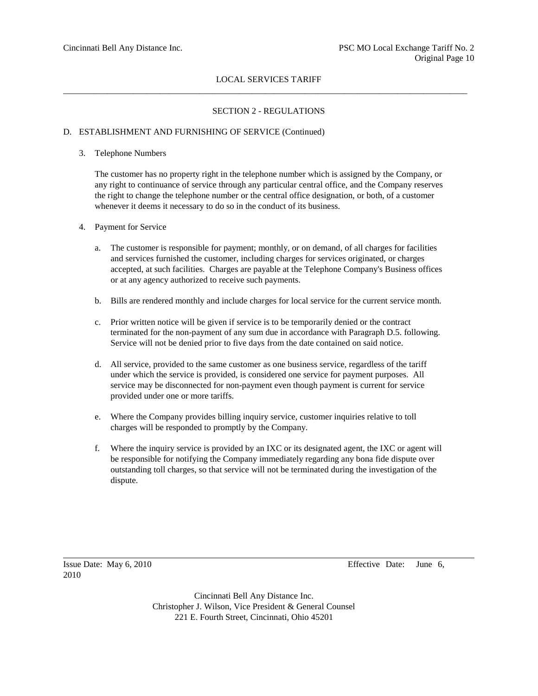# SECTION 2 - REGULATIONS

### D. ESTABLISHMENT AND FURNISHING OF SERVICE (Continued)

#### 3. Telephone Numbers

The customer has no property right in the telephone number which is assigned by the Company, or any right to continuance of service through any particular central office, and the Company reserves the right to change the telephone number or the central office designation, or both, of a customer whenever it deems it necessary to do so in the conduct of its business.

- 4. Payment for Service
	- a. The customer is responsible for payment; monthly, or on demand, of all charges for facilities and services furnished the customer, including charges for services originated, or charges accepted, at such facilities. Charges are payable at the Telephone Company's Business offices or at any agency authorized to receive such payments.
	- b. Bills are rendered monthly and include charges for local service for the current service month.
	- c. Prior written notice will be given if service is to be temporarily denied or the contract terminated for the non-payment of any sum due in accordance with Paragraph D.5. following. Service will not be denied prior to five days from the date contained on said notice.
	- d. All service, provided to the same customer as one business service, regardless of the tariff under which the service is provided, is considered one service for payment purposes. All service may be disconnected for non-payment even though payment is current for service provided under one or more tariffs.
	- e. Where the Company provides billing inquiry service, customer inquiries relative to toll charges will be responded to promptly by the Company.
	- f. Where the inquiry service is provided by an IXC or its designated agent, the IXC or agent will be responsible for notifying the Company immediately regarding any bona fide dispute over outstanding toll charges, so that service will not be terminated during the investigation of the dispute.

2010

Issue Date: May 6, 2010 Effective Date: June 6,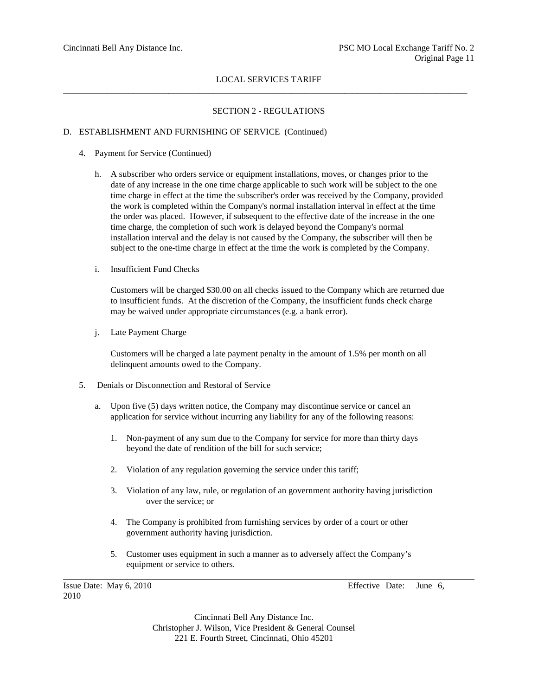# SECTION 2 - REGULATIONS

### D. ESTABLISHMENT AND FURNISHING OF SERVICE (Continued)

- 4. Payment for Service (Continued)
	- h. A subscriber who orders service or equipment installations, moves, or changes prior to the date of any increase in the one time charge applicable to such work will be subject to the one time charge in effect at the time the subscriber's order was received by the Company, provided the work is completed within the Company's normal installation interval in effect at the time the order was placed. However, if subsequent to the effective date of the increase in the one time charge, the completion of such work is delayed beyond the Company's normal installation interval and the delay is not caused by the Company, the subscriber will then be subject to the one-time charge in effect at the time the work is completed by the Company.
	- i. Insufficient Fund Checks

Customers will be charged \$30.00 on all checks issued to the Company which are returned due to insufficient funds. At the discretion of the Company, the insufficient funds check charge may be waived under appropriate circumstances (e.g. a bank error).

j. Late Payment Charge

Customers will be charged a late payment penalty in the amount of 1.5% per month on all delinquent amounts owed to the Company.

- 5. Denials or Disconnection and Restoral of Service
	- a. Upon five (5) days written notice, the Company may discontinue service or cancel an application for service without incurring any liability for any of the following reasons:
		- 1. Non-payment of any sum due to the Company for service for more than thirty days beyond the date of rendition of the bill for such service;
		- 2. Violation of any regulation governing the service under this tariff;
		- 3. Violation of any law, rule, or regulation of an government authority having jurisdiction over the service; or
		- 4. The Company is prohibited from furnishing services by order of a court or other government authority having jurisdiction.
		- 5. Customer uses equipment in such a manner as to adversely affect the Company's equipment or service to others.

2010

Issue Date: May 6, 2010 Effective Date: June 6,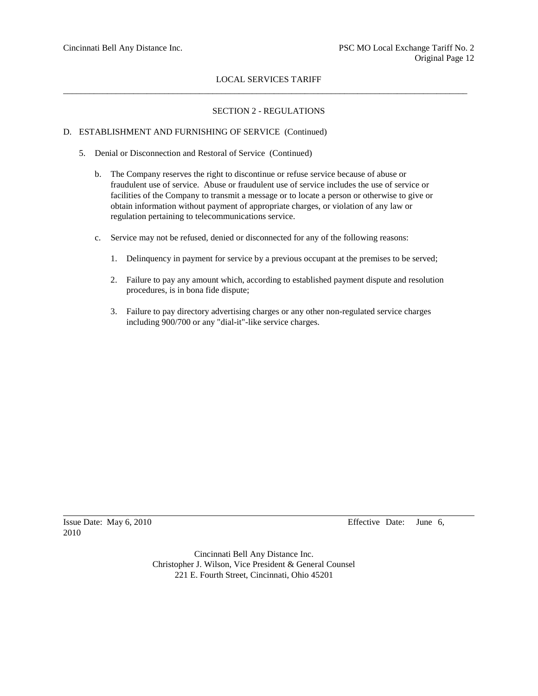# SECTION 2 - REGULATIONS

### D. ESTABLISHMENT AND FURNISHING OF SERVICE (Continued)

- 5. Denial or Disconnection and Restoral of Service (Continued)
	- b. The Company reserves the right to discontinue or refuse service because of abuse or fraudulent use of service. Abuse or fraudulent use of service includes the use of service or facilities of the Company to transmit a message or to locate a person or otherwise to give or obtain information without payment of appropriate charges, or violation of any law or regulation pertaining to telecommunications service.
	- c. Service may not be refused, denied or disconnected for any of the following reasons:
		- 1. Delinquency in payment for service by a previous occupant at the premises to be served;
		- 2. Failure to pay any amount which, according to established payment dispute and resolution procedures, is in bona fide dispute;
		- 3. Failure to pay directory advertising charges or any other non-regulated service charges including 900/700 or any "dial-it"-like service charges.

2010

Issue Date: May 6, 2010 Effective Date: June 6,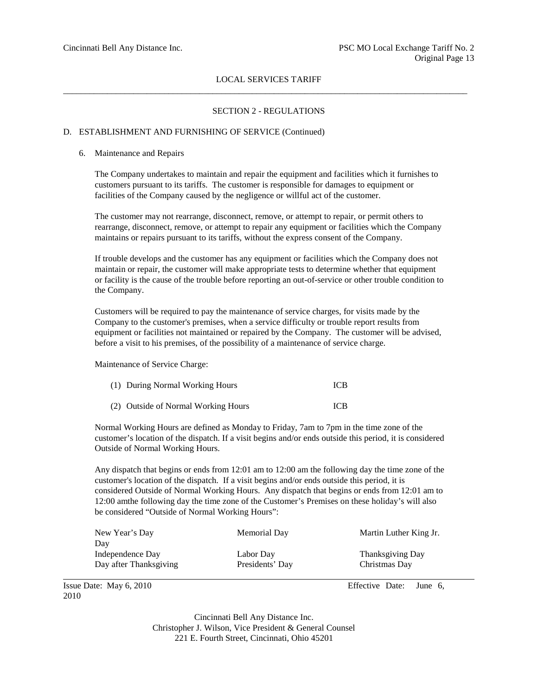# SECTION 2 - REGULATIONS

#### D. ESTABLISHMENT AND FURNISHING OF SERVICE (Continued)

#### 6. Maintenance and Repairs

The Company undertakes to maintain and repair the equipment and facilities which it furnishes to customers pursuant to its tariffs. The customer is responsible for damages to equipment or facilities of the Company caused by the negligence or willful act of the customer.

The customer may not rearrange, disconnect, remove, or attempt to repair, or permit others to rearrange, disconnect, remove, or attempt to repair any equipment or facilities which the Company maintains or repairs pursuant to its tariffs, without the express consent of the Company.

If trouble develops and the customer has any equipment or facilities which the Company does not maintain or repair, the customer will make appropriate tests to determine whether that equipment or facility is the cause of the trouble before reporting an out-of-service or other trouble condition to the Company.

Customers will be required to pay the maintenance of service charges, for visits made by the Company to the customer's premises, when a service difficulty or trouble report results from equipment or facilities not maintained or repaired by the Company. The customer will be advised, before a visit to his premises, of the possibility of a maintenance of service charge.

Maintenance of Service Charge:

| (1) During Normal Working Hours     | <b>ICB</b> |
|-------------------------------------|------------|
| (2) Outside of Normal Working Hours | <b>ICB</b> |

Normal Working Hours are defined as Monday to Friday, 7am to 7pm in the time zone of the customer's location of the dispatch. If a visit begins and/or ends outside this period, it is considered Outside of Normal Working Hours.

Any dispatch that begins or ends from 12:01 am to 12:00 am the following day the time zone of the customer's location of the dispatch. If a visit begins and/or ends outside this period, it is considered Outside of Normal Working Hours. Any dispatch that begins or ends from 12:01 am to 12:00 amthe following day the time zone of the Customer's Premises on these holiday's will also be considered "Outside of Normal Working Hours":

| New Year's Day         | Memorial Day    | Martin Luther King Jr. |
|------------------------|-----------------|------------------------|
| Day                    |                 |                        |
| Independence Day       | Labor Day       | Thanksgiving Day       |
| Day after Thanksgiving | Presidents' Day | Christmas Day          |

2010

Issue Date: May 6, 2010 Effective Date: June 6,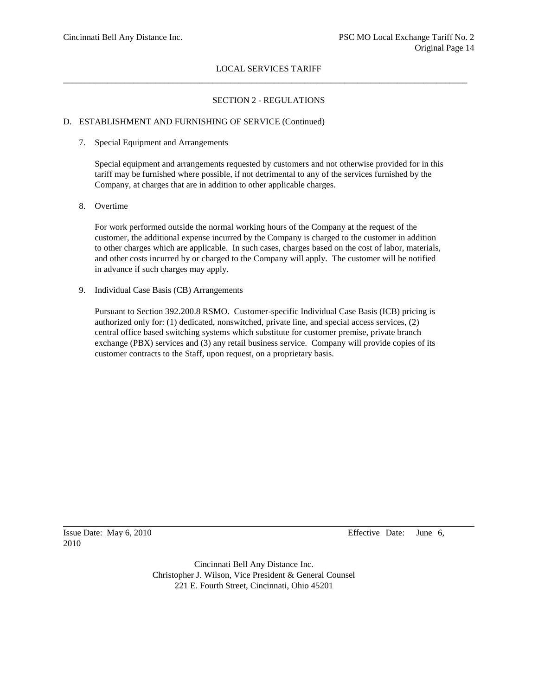## SECTION 2 - REGULATIONS

## D. ESTABLISHMENT AND FURNISHING OF SERVICE (Continued)

#### 7. Special Equipment and Arrangements

Special equipment and arrangements requested by customers and not otherwise provided for in this tariff may be furnished where possible, if not detrimental to any of the services furnished by the Company, at charges that are in addition to other applicable charges.

8. Overtime

For work performed outside the normal working hours of the Company at the request of the customer, the additional expense incurred by the Company is charged to the customer in addition to other charges which are applicable. In such cases, charges based on the cost of labor, materials, and other costs incurred by or charged to the Company will apply. The customer will be notified in advance if such charges may apply.

9. Individual Case Basis (CB) Arrangements

Pursuant to Section 392.200.8 RSMO. Customer-specific Individual Case Basis (ICB) pricing is authorized only for: (1) dedicated, nonswitched, private line, and special access services, (2) central office based switching systems which substitute for customer premise, private branch exchange (PBX) services and (3) any retail business service. Company will provide copies of its customer contracts to the Staff, upon request, on a proprietary basis.

2010

Issue Date: May 6, 2010 Effective Date: June 6,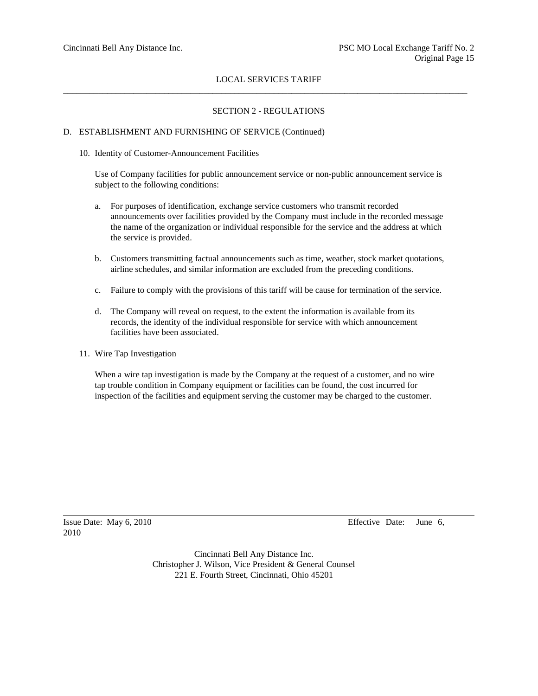# SECTION 2 - REGULATIONS

## D. ESTABLISHMENT AND FURNISHING OF SERVICE (Continued)

#### 10. Identity of Customer-Announcement Facilities

Use of Company facilities for public announcement service or non-public announcement service is subject to the following conditions:

- a. For purposes of identification, exchange service customers who transmit recorded announcements over facilities provided by the Company must include in the recorded message the name of the organization or individual responsible for the service and the address at which the service is provided.
- b. Customers transmitting factual announcements such as time, weather, stock market quotations, airline schedules, and similar information are excluded from the preceding conditions.
- c. Failure to comply with the provisions of this tariff will be cause for termination of the service.
- d. The Company will reveal on request, to the extent the information is available from its records, the identity of the individual responsible for service with which announcement facilities have been associated.
- 11. Wire Tap Investigation

When a wire tap investigation is made by the Company at the request of a customer, and no wire tap trouble condition in Company equipment or facilities can be found, the cost incurred for inspection of the facilities and equipment serving the customer may be charged to the customer.

2010

Issue Date: May 6, 2010 Effective Date: June 6,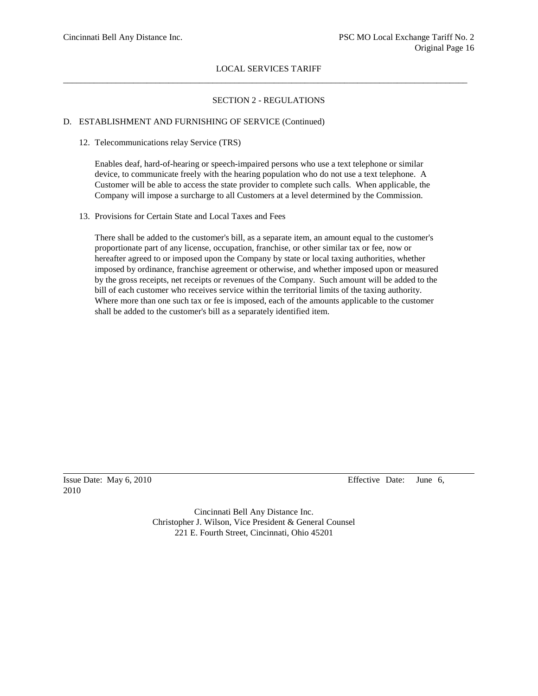## SECTION 2 - REGULATIONS

### D. ESTABLISHMENT AND FURNISHING OF SERVICE (Continued)

12. Telecommunications relay Service (TRS)

Enables deaf, hard-of-hearing or speech-impaired persons who use a text telephone or similar device, to communicate freely with the hearing population who do not use a text telephone. A Customer will be able to access the state provider to complete such calls. When applicable, the Company will impose a surcharge to all Customers at a level determined by the Commission.

13. Provisions for Certain State and Local Taxes and Fees

There shall be added to the customer's bill, as a separate item, an amount equal to the customer's proportionate part of any license, occupation, franchise, or other similar tax or fee, now or hereafter agreed to or imposed upon the Company by state or local taxing authorities, whether imposed by ordinance, franchise agreement or otherwise, and whether imposed upon or measured by the gross receipts, net receipts or revenues of the Company. Such amount will be added to the bill of each customer who receives service within the territorial limits of the taxing authority. Where more than one such tax or fee is imposed, each of the amounts applicable to the customer shall be added to the customer's bill as a separately identified item.

2010

Issue Date: May 6, 2010 Effective Date: June 6,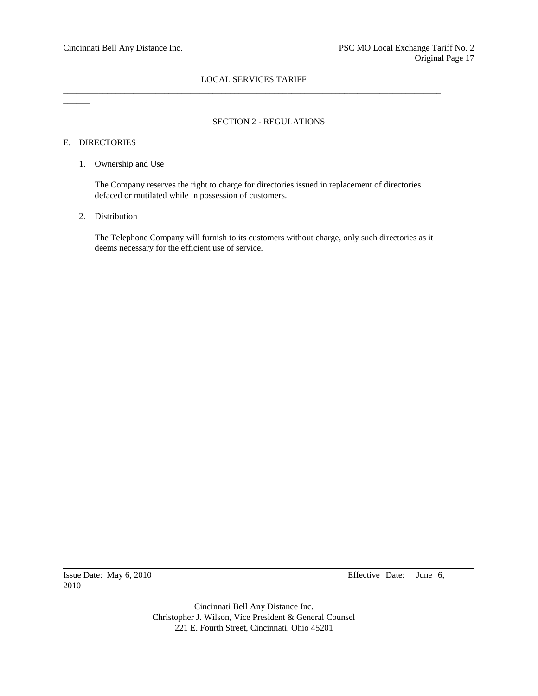$\overline{\phantom{a}}$ 

# SECTION 2 - REGULATIONS

# E. DIRECTORIES

1. Ownership and Use

The Company reserves the right to charge for directories issued in replacement of directories defaced or mutilated while in possession of customers.

2. Distribution

The Telephone Company will furnish to its customers without charge, only such directories as it deems necessary for the efficient use of service.

2010

Issue Date: May 6, 2010 Effective Date: June 6,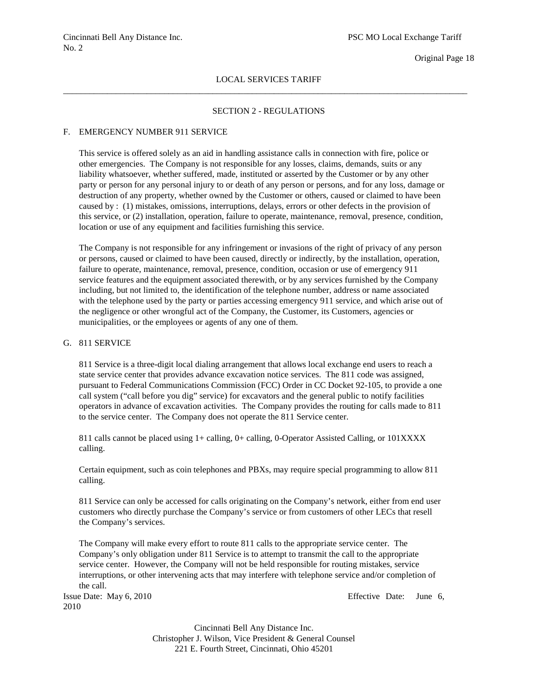#### Original Page 18

# LOCAL SERVICES TARIFF \_\_\_\_\_\_\_\_\_\_\_\_\_\_\_\_\_\_\_\_\_\_\_\_\_\_\_\_\_\_\_\_\_\_\_\_\_\_\_\_\_\_\_\_\_\_\_\_\_\_\_\_\_\_\_\_\_\_\_\_\_\_\_\_\_\_\_\_\_\_\_\_\_\_\_\_\_\_\_\_\_\_\_\_\_\_\_\_\_\_\_\_

#### SECTION 2 - REGULATIONS

#### F. EMERGENCY NUMBER 911 SERVICE

This service is offered solely as an aid in handling assistance calls in connection with fire, police or other emergencies. The Company is not responsible for any losses, claims, demands, suits or any liability whatsoever, whether suffered, made, instituted or asserted by the Customer or by any other party or person for any personal injury to or death of any person or persons, and for any loss, damage or destruction of any property, whether owned by the Customer or others, caused or claimed to have been caused by : (1) mistakes, omissions, interruptions, delays, errors or other defects in the provision of this service, or (2) installation, operation, failure to operate, maintenance, removal, presence, condition, location or use of any equipment and facilities furnishing this service.

The Company is not responsible for any infringement or invasions of the right of privacy of any person or persons, caused or claimed to have been caused, directly or indirectly, by the installation, operation, failure to operate, maintenance, removal, presence, condition, occasion or use of emergency 911 service features and the equipment associated therewith, or by any services furnished by the Company including, but not limited to, the identification of the telephone number, address or name associated with the telephone used by the party or parties accessing emergency 911 service, and which arise out of the negligence or other wrongful act of the Company, the Customer, its Customers, agencies or municipalities, or the employees or agents of any one of them.

# G. 811 SERVICE

811 Service is a three-digit local dialing arrangement that allows local exchange end users to reach a state service center that provides advance excavation notice services. The 811 code was assigned, pursuant to Federal Communications Commission (FCC) Order in CC Docket 92-105, to provide a one call system ("call before you dig" service) for excavators and the general public to notify facilities operators in advance of excavation activities. The Company provides the routing for calls made to 811 to the service center. The Company does not operate the 811 Service center.

811 calls cannot be placed using 1+ calling, 0+ calling, 0-Operator Assisted Calling, or 101XXXX calling.

Certain equipment, such as coin telephones and PBXs, may require special programming to allow 811 calling.

811 Service can only be accessed for calls originating on the Company's network, either from end user customers who directly purchase the Company's service or from customers of other LECs that resell the Company's services.

The Company will make every effort to route 811 calls to the appropriate service center. The Company's only obligation under 811 Service is to attempt to transmit the call to the appropriate service center. However, the Company will not be held responsible for routing mistakes, service interruptions, or other intervening acts that may interfere with telephone service and/or completion of the call.

2010

Issue Date: May 6, 2010 Effective Date: June 6,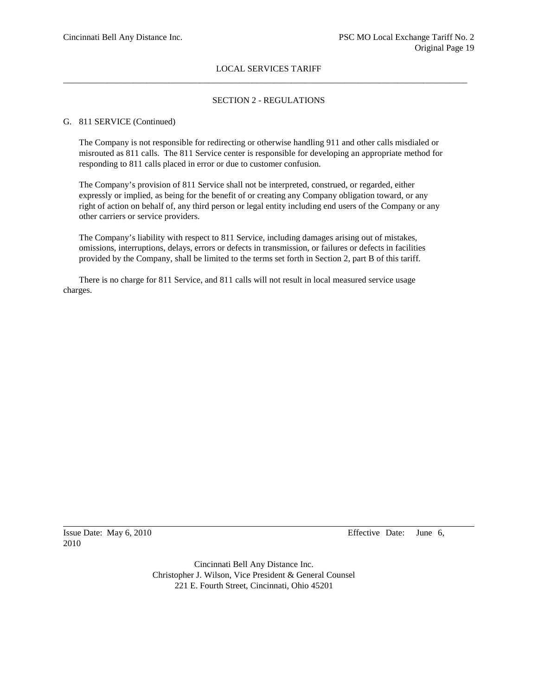### SECTION 2 - REGULATIONS

#### G. 811 SERVICE (Continued)

The Company is not responsible for redirecting or otherwise handling 911 and other calls misdialed or misrouted as 811 calls. The 811 Service center is responsible for developing an appropriate method for responding to 811 calls placed in error or due to customer confusion.

The Company's provision of 811 Service shall not be interpreted, construed, or regarded, either expressly or implied, as being for the benefit of or creating any Company obligation toward, or any right of action on behalf of, any third person or legal entity including end users of the Company or any other carriers or service providers.

The Company's liability with respect to 811 Service, including damages arising out of mistakes, omissions, interruptions, delays, errors or defects in transmission, or failures or defects in facilities provided by the Company, shall be limited to the terms set forth in Section 2, part B of this tariff.

There is no charge for 811 Service, and 811 calls will not result in local measured service usage charges.

2010

Issue Date: May 6, 2010 Effective Date: June 6,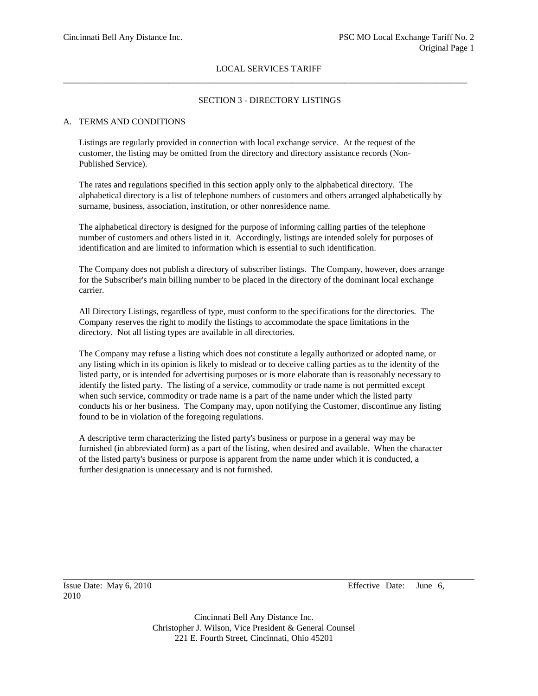# SECTION 3 - DIRECTORY LISTINGS

# A. TERMS AND CONDITIONS

Listings are regularly provided in connection with local exchange service. At the request of the customer, the listing may be omitted from the directory and directory assistance records (Non-Published Service).

The rates and regulations specified in this section apply only to the alphabetical directory. The alphabetical directory is a list of telephone numbers of customers and others arranged alphabetically by surname, business, association, institution, or other nonresidence name.

The alphabetical directory is designed for the purpose of informing calling parties of the telephone number of customers and others listed in it. Accordingly, listings are intended solely for purposes of identification and are limited to information which is essential to such identification.

The Company does not publish a directory of subscriber listings. The Company, however, does arrange for the Subscriber's main billing number to be placed in the directory of the dominant local exchange carrier.

All Directory Listings, regardless of type, must conform to the specifications for the directories. The Company reserves the right to modify the listings to accommodate the space limitations in the directory. Not all listing types are available in all directories.

The Company may refuse a listing which does not constitute a legally authorized or adopted name, or any listing which in its opinion is likely to mislead or to deceive calling parties as to the identity of the listed party, or is intended for advertising purposes or is more elaborate than is reasonably necessary to identify the listed party. The listing of a service, commodity or trade name is not permitted except when such service, commodity or trade name is a part of the name under which the listed party conducts his or her business. The Company may, upon notifying the Customer, discontinue any listing found to be in violation of the foregoing regulations.

A descriptive term characterizing the listed party's business or purpose in a general way may be furnished (in abbreviated form) as a part of the listing, when desired and available. When the character of the listed party's business or purpose is apparent from the name under which it is conducted, a further designation is unnecessary and is not furnished.

2010

Issue Date: May 6, 2010 Effective Date: June 6,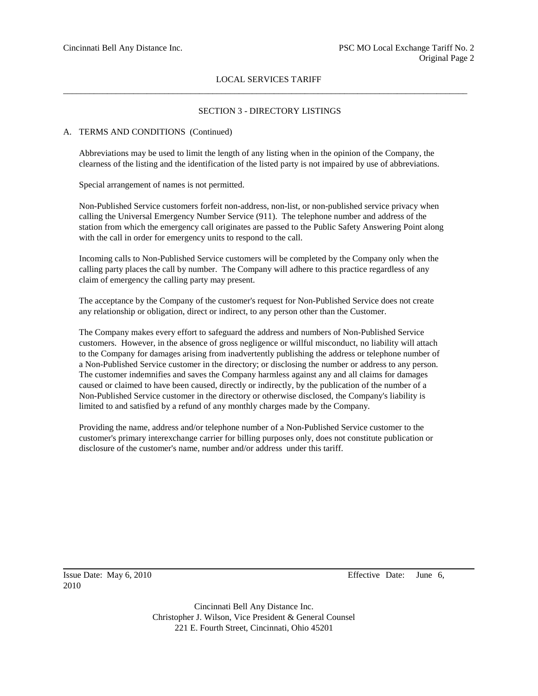## SECTION 3 - DIRECTORY LISTINGS

#### A. TERMS AND CONDITIONS (Continued)

Abbreviations may be used to limit the length of any listing when in the opinion of the Company, the clearness of the listing and the identification of the listed party is not impaired by use of abbreviations.

Special arrangement of names is not permitted.

Non-Published Service customers forfeit non-address, non-list, or non-published service privacy when calling the Universal Emergency Number Service (911). The telephone number and address of the station from which the emergency call originates are passed to the Public Safety Answering Point along with the call in order for emergency units to respond to the call.

Incoming calls to Non-Published Service customers will be completed by the Company only when the calling party places the call by number. The Company will adhere to this practice regardless of any claim of emergency the calling party may present.

The acceptance by the Company of the customer's request for Non-Published Service does not create any relationship or obligation, direct or indirect, to any person other than the Customer.

The Company makes every effort to safeguard the address and numbers of Non-Published Service customers. However, in the absence of gross negligence or willful misconduct, no liability will attach to the Company for damages arising from inadvertently publishing the address or telephone number of a Non-Published Service customer in the directory; or disclosing the number or address to any person. The customer indemnifies and saves the Company harmless against any and all claims for damages caused or claimed to have been caused, directly or indirectly, by the publication of the number of a Non-Published Service customer in the directory or otherwise disclosed, the Company's liability is limited to and satisfied by a refund of any monthly charges made by the Company.

Providing the name, address and/or telephone number of a Non-Published Service customer to the customer's primary interexchange carrier for billing purposes only, does not constitute publication or disclosure of the customer's name, number and/or address under this tariff.

2010

Issue Date: May 6, 2010 Effective Date: June 6,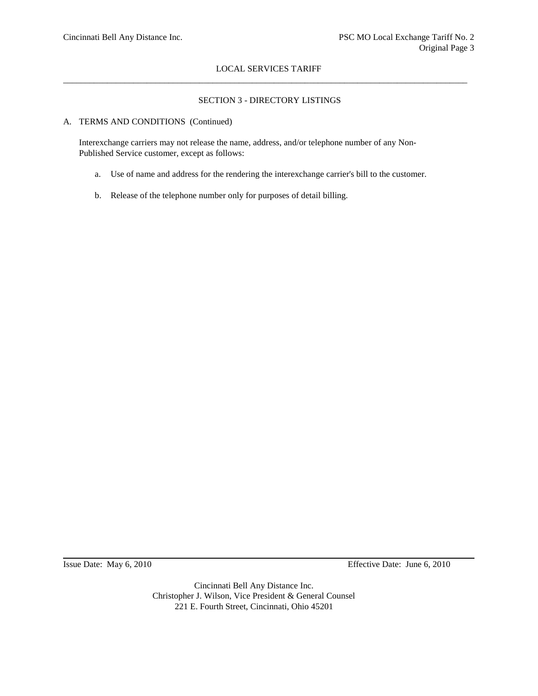# SECTION 3 - DIRECTORY LISTINGS

# A. TERMS AND CONDITIONS (Continued)

Interexchange carriers may not release the name, address, and/or telephone number of any Non-Published Service customer, except as follows:

- a. Use of name and address for the rendering the interexchange carrier's bill to the customer.
- b. Release of the telephone number only for purposes of detail billing.

Issue Date: May 6, 2010 Effective Date: June 6, 2010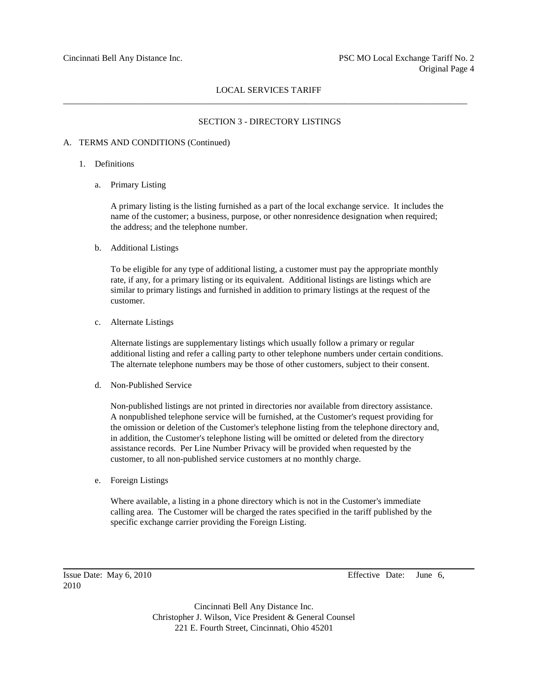### SECTION 3 - DIRECTORY LISTINGS

#### A. TERMS AND CONDITIONS (Continued)

- 1. Definitions
	- a. Primary Listing

A primary listing is the listing furnished as a part of the local exchange service. It includes the name of the customer; a business, purpose, or other nonresidence designation when required; the address; and the telephone number.

b. Additional Listings

To be eligible for any type of additional listing, a customer must pay the appropriate monthly rate, if any, for a primary listing or its equivalent. Additional listings are listings which are similar to primary listings and furnished in addition to primary listings at the request of the customer.

c. Alternate Listings

Alternate listings are supplementary listings which usually follow a primary or regular additional listing and refer a calling party to other telephone numbers under certain conditions. The alternate telephone numbers may be those of other customers, subject to their consent.

d. Non-Published Service

Non-published listings are not printed in directories nor available from directory assistance. A nonpublished telephone service will be furnished, at the Customer's request providing for the omission or deletion of the Customer's telephone listing from the telephone directory and, in addition, the Customer's telephone listing will be omitted or deleted from the directory assistance records. Per Line Number Privacy will be provided when requested by the customer, to all non-published service customers at no monthly charge.

e. Foreign Listings

Where available, a listing in a phone directory which is not in the Customer's immediate calling area. The Customer will be charged the rates specified in the tariff published by the specific exchange carrier providing the Foreign Listing.

2010

Issue Date: May 6, 2010 Effective Date: June 6,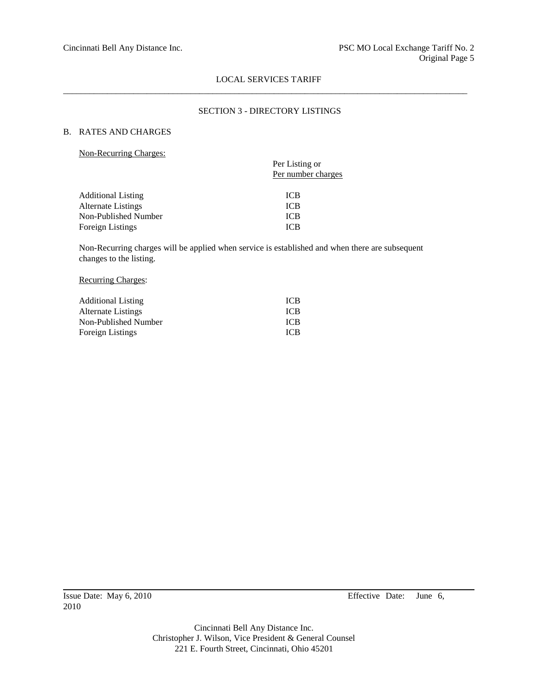## SECTION 3 - DIRECTORY LISTINGS

# B. RATES AND CHARGES

Non-Recurring Charges:

| $\ldots$                  |                                      |
|---------------------------|--------------------------------------|
|                           | Per Listing or<br>Per number charges |
|                           |                                      |
| <b>Additional Listing</b> | <b>ICB</b>                           |
| Alternate Listings        | <b>ICB</b>                           |
| Non-Published Number      | <b>ICB</b>                           |
| <b>Foreign Listings</b>   | <b>ICB</b>                           |
|                           |                                      |

Non-Recurring charges will be applied when service is established and when there are subsequent changes to the listing.

### Recurring Charges:

| <b>Additional Listing</b> | <b>ICB</b> |
|---------------------------|------------|
| Alternate Listings        | <b>ICB</b> |
| Non-Published Number      | <b>ICB</b> |
| Foreign Listings          | <b>ICB</b> |

Issue Date: May 6, 2010 Effective Date: June 6,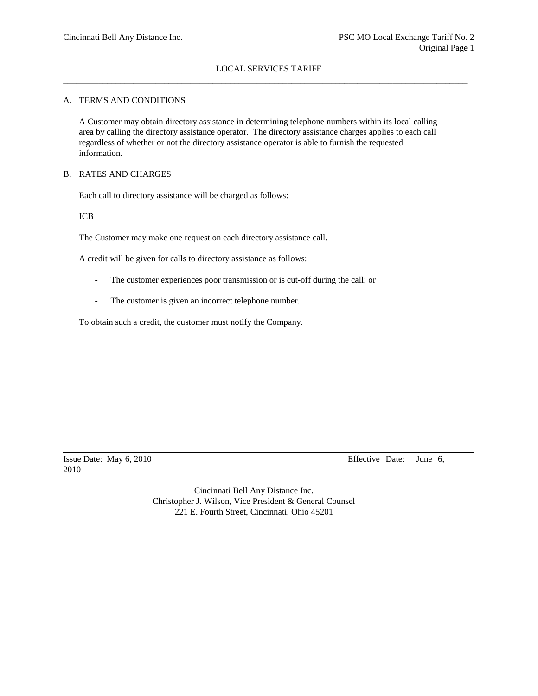### A. TERMS AND CONDITIONS

A Customer may obtain directory assistance in determining telephone numbers within its local calling area by calling the directory assistance operator. The directory assistance charges applies to each call regardless of whether or not the directory assistance operator is able to furnish the requested information.

#### B. RATES AND CHARGES

Each call to directory assistance will be charged as follows:

ICB

The Customer may make one request on each directory assistance call.

A credit will be given for calls to directory assistance as follows:

- The customer experiences poor transmission or is cut-off during the call; or
- The customer is given an incorrect telephone number.

To obtain such a credit, the customer must notify the Company.

2010

Issue Date: May 6, 2010 Effective Date: June 6,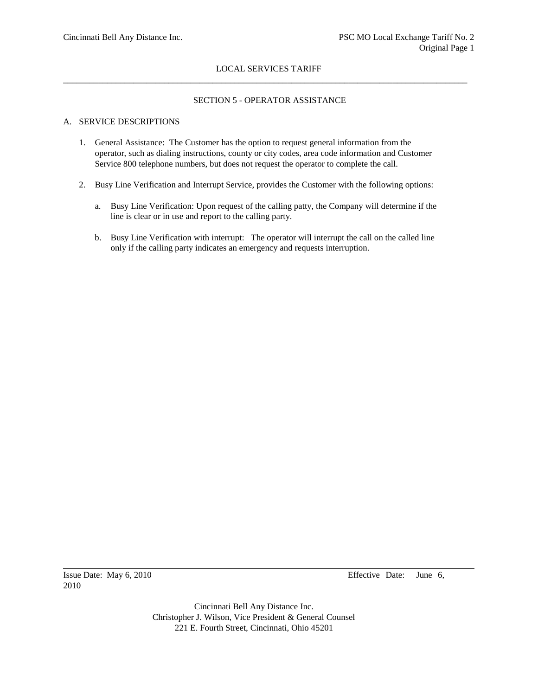# SECTION 5 - OPERATOR ASSISTANCE

# A. SERVICE DESCRIPTIONS

- 1. General Assistance: The Customer has the option to request general information from the operator, such as dialing instructions, county or city codes, area code information and Customer Service 800 telephone numbers, but does not request the operator to complete the call.
- 2. Busy Line Verification and Interrupt Service, provides the Customer with the following options:
	- a. Busy Line Verification: Upon request of the calling patty, the Company will determine if the line is clear or in use and report to the calling party.
	- b. Busy Line Verification with interrupt: The operator will interrupt the call on the called line only if the calling party indicates an emergency and requests interruption.

2010

Issue Date: May 6, 2010 Effective Date: June 6,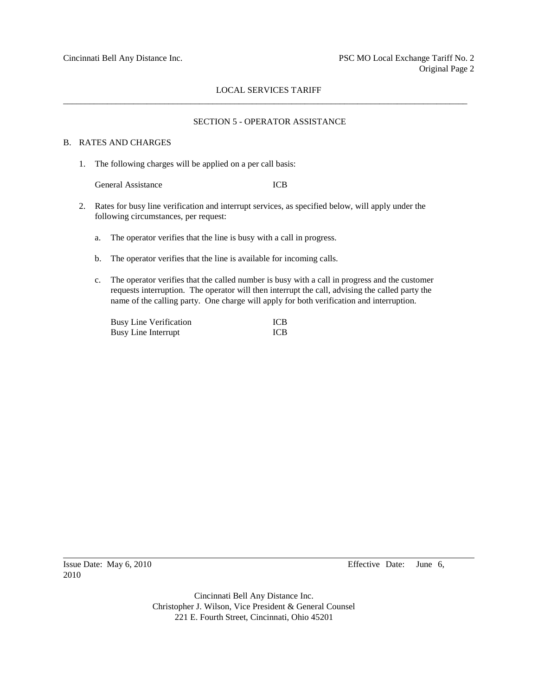# SECTION 5 - OPERATOR ASSISTANCE

## B. RATES AND CHARGES

1. The following charges will be applied on a per call basis:

General Assistance ICB

- 2. Rates for busy line verification and interrupt services, as specified below, will apply under the following circumstances, per request:
	- a. The operator verifies that the line is busy with a call in progress.
	- b. The operator verifies that the line is available for incoming calls.
	- c. The operator verifies that the called number is busy with a call in progress and the customer requests interruption. The operator will then interrupt the call, advising the called party the name of the calling party. One charge will apply for both verification and interruption.

| <b>Busy Line Verification</b> | <b>ICB</b> |
|-------------------------------|------------|
| <b>Busy Line Interrupt</b>    | <b>ICB</b> |

2010

Issue Date: May 6, 2010 Effective Date: June 6,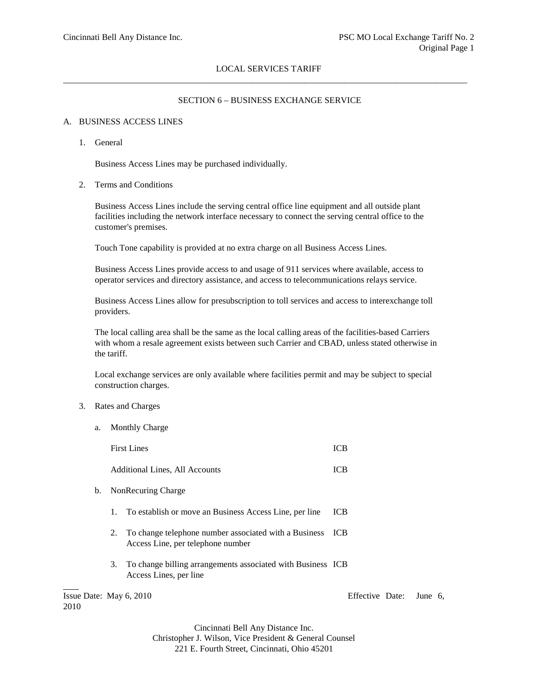### SECTION 6 – BUSINESS EXCHANGE SERVICE

#### A. BUSINESS ACCESS LINES

1. General

Business Access Lines may be purchased individually.

2. Terms and Conditions

Business Access Lines include the serving central office line equipment and all outside plant facilities including the network interface necessary to connect the serving central office to the customer's premises.

Touch Tone capability is provided at no extra charge on all Business Access Lines.

Business Access Lines provide access to and usage of 911 services where available, access to operator services and directory assistance, and access to telecommunications relays service.

Business Access Lines allow for presubscription to toll services and access to interexchange toll providers.

The local calling area shall be the same as the local calling areas of the facilities-based Carriers with whom a resale agreement exists between such Carrier and CBAD, unless stated otherwise in the tariff.

Local exchange services are only available where facilities permit and may be subject to special construction charges.

#### 3. Rates and Charges

2010

a. Monthly Charge

|                         | <b>First Lines</b>                                                                                | <b>ICB</b>      |         |  |
|-------------------------|---------------------------------------------------------------------------------------------------|-----------------|---------|--|
|                         | Additional Lines, All Accounts                                                                    | <b>ICB</b>      |         |  |
| b.                      | NonRecuring Charge                                                                                |                 |         |  |
|                         | 1. To establish or move an Business Access Line, per line                                         | <b>ICB</b>      |         |  |
|                         | 2. To change telephone number associated with a Business ICB<br>Access Line, per telephone number |                 |         |  |
|                         | 3. To change billing arrangements associated with Business ICB<br>Access Lines, per line          |                 |         |  |
| Issue Date: May 6, 2010 |                                                                                                   | Effective Date: | June 6, |  |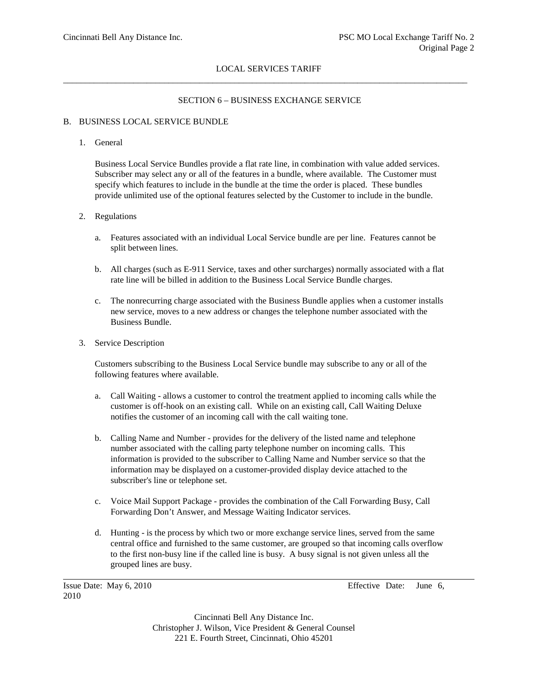# SECTION 6 – BUSINESS EXCHANGE SERVICE

# B. BUSINESS LOCAL SERVICE BUNDLE

# 1. General

Business Local Service Bundles provide a flat rate line, in combination with value added services. Subscriber may select any or all of the features in a bundle, where available. The Customer must specify which features to include in the bundle at the time the order is placed. These bundles provide unlimited use of the optional features selected by the Customer to include in the bundle.

# 2. Regulations

- a. Features associated with an individual Local Service bundle are per line. Features cannot be split between lines.
- b. All charges (such as E-911 Service, taxes and other surcharges) normally associated with a flat rate line will be billed in addition to the Business Local Service Bundle charges.
- c. The nonrecurring charge associated with the Business Bundle applies when a customer installs new service, moves to a new address or changes the telephone number associated with the Business Bundle.
- 3. Service Description

Customers subscribing to the Business Local Service bundle may subscribe to any or all of the following features where available.

- a. Call Waiting allows a customer to control the treatment applied to incoming calls while the customer is off-hook on an existing call. While on an existing call, Call Waiting Deluxe notifies the customer of an incoming call with the call waiting tone.
- b. Calling Name and Number provides for the delivery of the listed name and telephone number associated with the calling party telephone number on incoming calls. This information is provided to the subscriber to Calling Name and Number service so that the information may be displayed on a customer-provided display device attached to the subscriber's line or telephone set.
- c. Voice Mail Support Package provides the combination of the Call Forwarding Busy, Call Forwarding Don't Answer, and Message Waiting Indicator services.
- d. Hunting is the process by which two or more exchange service lines, served from the same central office and furnished to the same customer, are grouped so that incoming calls overflow to the first non-busy line if the called line is busy. A busy signal is not given unless all the grouped lines are busy.

2010

Issue Date: May 6, 2010 Effective Date: June 6,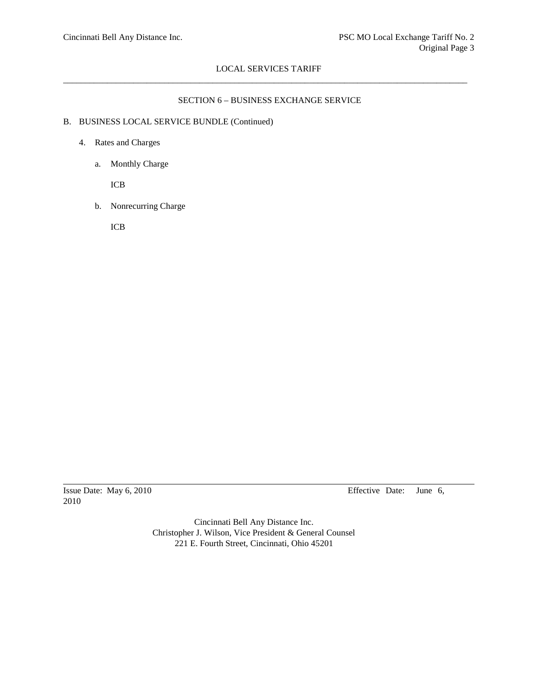## SECTION 6 – BUSINESS EXCHANGE SERVICE

# B. BUSINESS LOCAL SERVICE BUNDLE (Continued)

- 4. Rates and Charges
	- a. Monthly Charge

ICB

b. Nonrecurring Charge

ICB

2010

Issue Date: May 6, 2010 Effective Date: June 6,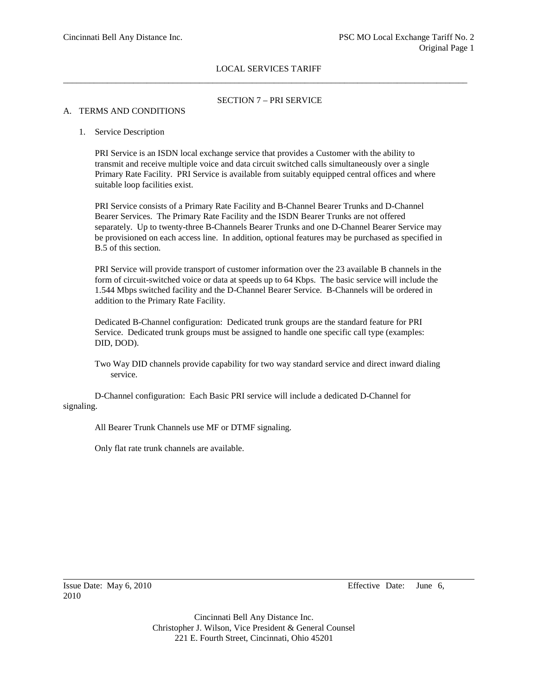## SECTION 7 – PRI SERVICE

#### A. TERMS AND CONDITIONS

#### 1. Service Description

PRI Service is an ISDN local exchange service that provides a Customer with the ability to transmit and receive multiple voice and data circuit switched calls simultaneously over a single Primary Rate Facility. PRI Service is available from suitably equipped central offices and where suitable loop facilities exist.

PRI Service consists of a Primary Rate Facility and B-Channel Bearer Trunks and D-Channel Bearer Services. The Primary Rate Facility and the ISDN Bearer Trunks are not offered separately. Up to twenty-three B-Channels Bearer Trunks and one D-Channel Bearer Service may be provisioned on each access line. In addition, optional features may be purchased as specified in B.5 of this section.

PRI Service will provide transport of customer information over the 23 available B channels in the form of circuit-switched voice or data at speeds up to 64 Kbps. The basic service will include the 1.544 Mbps switched facility and the D-Channel Bearer Service. B-Channels will be ordered in addition to the Primary Rate Facility.

Dedicated B-Channel configuration: Dedicated trunk groups are the standard feature for PRI Service. Dedicated trunk groups must be assigned to handle one specific call type (examples: DID, DOD).

Two Way DID channels provide capability for two way standard service and direct inward dialing service.

D-Channel configuration: Each Basic PRI service will include a dedicated D-Channel for signaling.

All Bearer Trunk Channels use MF or DTMF signaling.

Only flat rate trunk channels are available.

2010

Issue Date: May 6, 2010 Effective Date: June 6,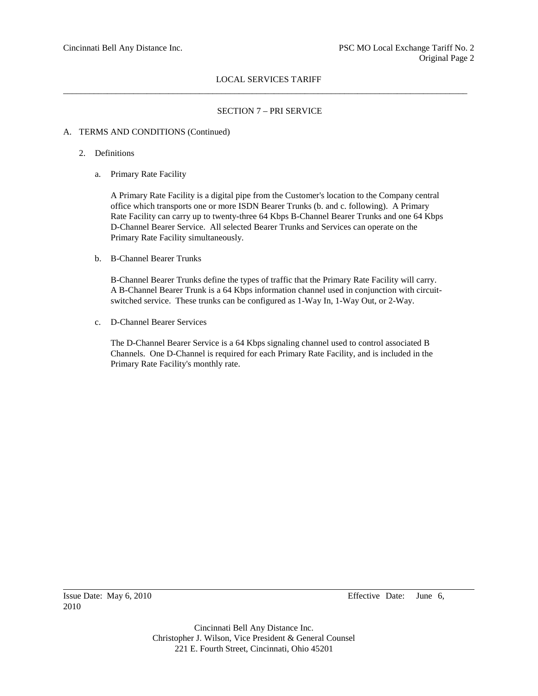# SECTION 7 – PRI SERVICE

# A. TERMS AND CONDITIONS (Continued)

### 2. Definitions

a. Primary Rate Facility

A Primary Rate Facility is a digital pipe from the Customer's location to the Company central office which transports one or more ISDN Bearer Trunks (b. and c. following). A Primary Rate Facility can carry up to twenty-three 64 Kbps B-Channel Bearer Trunks and one 64 Kbps D-Channel Bearer Service. All selected Bearer Trunks and Services can operate on the Primary Rate Facility simultaneously.

b. B-Channel Bearer Trunks

B-Channel Bearer Trunks define the types of traffic that the Primary Rate Facility will carry. A B-Channel Bearer Trunk is a 64 Kbps information channel used in conjunction with circuitswitched service. These trunks can be configured as 1-Way In, 1-Way Out, or 2-Way.

c. D-Channel Bearer Services

The D-Channel Bearer Service is a 64 Kbps signaling channel used to control associated B Channels. One D-Channel is required for each Primary Rate Facility, and is included in the Primary Rate Facility's monthly rate.

Issue Date: May 6, 2010 Effective Date: June 6,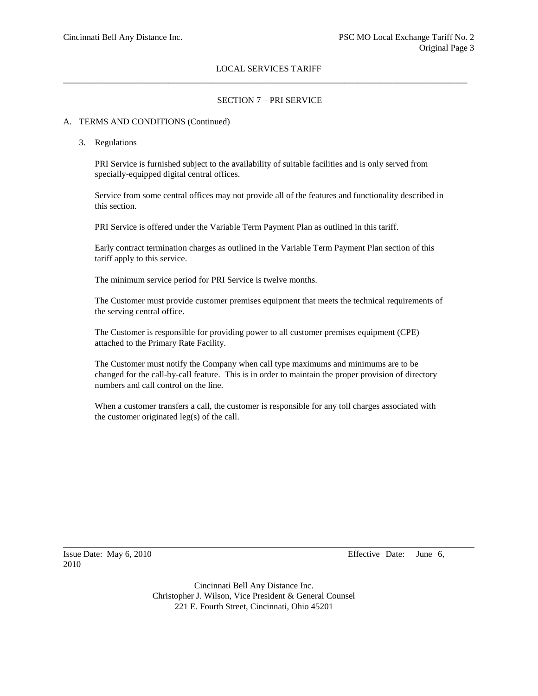### SECTION 7 – PRI SERVICE

#### A. TERMS AND CONDITIONS (Continued)

3. Regulations

PRI Service is furnished subject to the availability of suitable facilities and is only served from specially-equipped digital central offices.

Service from some central offices may not provide all of the features and functionality described in this section.

PRI Service is offered under the Variable Term Payment Plan as outlined in this tariff.

Early contract termination charges as outlined in the Variable Term Payment Plan section of this tariff apply to this service.

The minimum service period for PRI Service is twelve months.

The Customer must provide customer premises equipment that meets the technical requirements of the serving central office.

The Customer is responsible for providing power to all customer premises equipment (CPE) attached to the Primary Rate Facility.

The Customer must notify the Company when call type maximums and minimums are to be changed for the call-by-call feature. This is in order to maintain the proper provision of directory numbers and call control on the line.

When a customer transfers a call, the customer is responsible for any toll charges associated with the customer originated leg(s) of the call.

2010

Issue Date: May 6, 2010 Effective Date: June 6,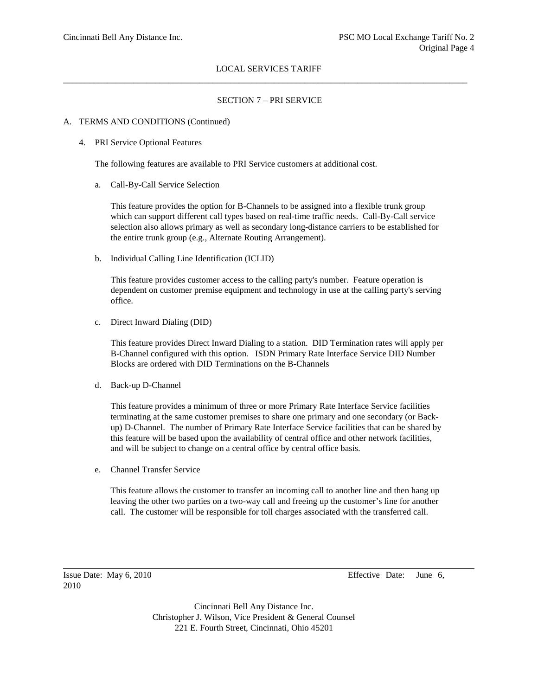### SECTION 7 – PRI SERVICE

#### A. TERMS AND CONDITIONS (Continued)

4. PRI Service Optional Features

The following features are available to PRI Service customers at additional cost.

a. Call-By-Call Service Selection

This feature provides the option for B-Channels to be assigned into a flexible trunk group which can support different call types based on real-time traffic needs. Call-By-Call service selection also allows primary as well as secondary long-distance carriers to be established for the entire trunk group (e.g., Alternate Routing Arrangement).

b. Individual Calling Line Identification (ICLID)

This feature provides customer access to the calling party's number. Feature operation is dependent on customer premise equipment and technology in use at the calling party's serving office.

c. Direct Inward Dialing (DID)

This feature provides Direct Inward Dialing to a station. DID Termination rates will apply per B-Channel configured with this option. ISDN Primary Rate Interface Service DID Number Blocks are ordered with DID Terminations on the B-Channels

d. Back-up D-Channel

This feature provides a minimum of three or more Primary Rate Interface Service facilities terminating at the same customer premises to share one primary and one secondary (or Backup) D-Channel. The number of Primary Rate Interface Service facilities that can be shared by this feature will be based upon the availability of central office and other network facilities, and will be subject to change on a central office by central office basis.

e. Channel Transfer Service

This feature allows the customer to transfer an incoming call to another line and then hang up leaving the other two parties on a two-way call and freeing up the customer's line for another call. The customer will be responsible for toll charges associated with the transferred call.

2010

Issue Date: May 6, 2010 Effective Date: June 6,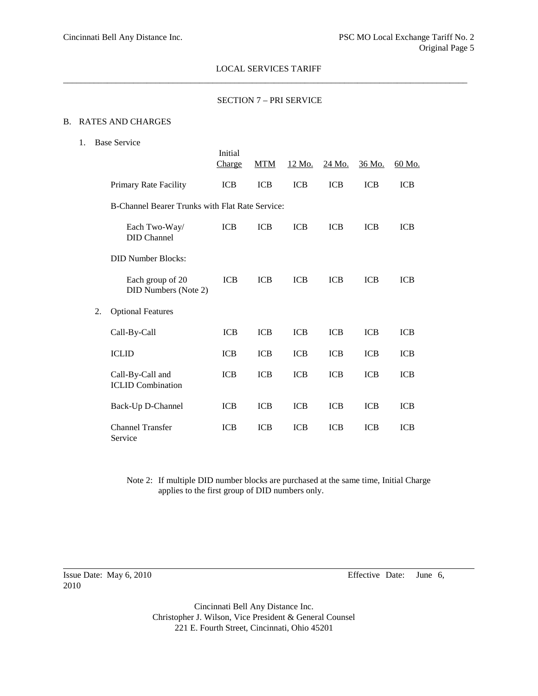#### SECTION 7 – PRI SERVICE

### B. RATES AND CHARGES

1. Base Service

|    |                                                 | Initial<br>Charge | <b>MTM</b> | 12 Mo.     | 24 Mo.     | <u>36 Mo.</u> | 60 Mo.     |
|----|-------------------------------------------------|-------------------|------------|------------|------------|---------------|------------|
|    | Primary Rate Facility                           | <b>ICB</b>        | <b>ICB</b> | <b>ICB</b> | <b>ICB</b> | <b>ICB</b>    | <b>ICB</b> |
|    | B-Channel Bearer Trunks with Flat Rate Service: |                   |            |            |            |               |            |
|    | Each Two-Way/<br><b>DID</b> Channel             | <b>ICB</b>        | <b>ICB</b> | <b>ICB</b> | <b>ICB</b> | <b>ICB</b>    | <b>ICB</b> |
|    | <b>DID Number Blocks:</b>                       |                   |            |            |            |               |            |
|    | Each group of 20<br>DID Numbers (Note 2)        | <b>ICB</b>        | <b>ICB</b> | <b>ICB</b> | <b>ICB</b> | <b>ICB</b>    | <b>ICB</b> |
| 2. | <b>Optional Features</b>                        |                   |            |            |            |               |            |
|    | Call-By-Call                                    | <b>ICB</b>        | <b>ICB</b> | <b>ICB</b> | <b>ICB</b> | <b>ICB</b>    | <b>ICB</b> |
|    | <b>ICLID</b>                                    | <b>ICB</b>        | <b>ICB</b> | <b>ICB</b> | <b>ICB</b> | <b>ICB</b>    | <b>ICB</b> |
|    | Call-By-Call and<br><b>ICLID</b> Combination    | <b>ICB</b>        | <b>ICB</b> | <b>ICB</b> | <b>ICB</b> | <b>ICB</b>    | <b>ICB</b> |
|    | Back-Up D-Channel                               | <b>ICB</b>        | <b>ICB</b> | <b>ICB</b> | <b>ICB</b> | <b>ICB</b>    | <b>ICB</b> |
|    | <b>Channel Transfer</b><br>Service              | <b>ICB</b>        | <b>ICB</b> | <b>ICB</b> | <b>ICB</b> | <b>ICB</b>    | <b>ICB</b> |

Note 2: If multiple DID number blocks are purchased at the same time, Initial Charge applies to the first group of DID numbers only.

2010

Issue Date: May 6, 2010 Effective Date: June 6,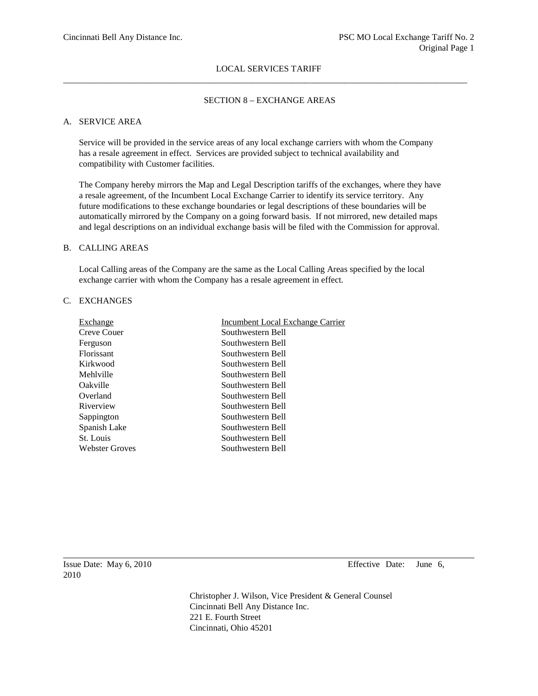### SECTION 8 – EXCHANGE AREAS

## A. SERVICE AREA

Service will be provided in the service areas of any local exchange carriers with whom the Company has a resale agreement in effect. Services are provided subject to technical availability and compatibility with Customer facilities.

The Company hereby mirrors the Map and Legal Description tariffs of the exchanges, where they have a resale agreement, of the Incumbent Local Exchange Carrier to identify its service territory. Any future modifications to these exchange boundaries or legal descriptions of these boundaries will be automatically mirrored by the Company on a going forward basis. If not mirrored, new detailed maps and legal descriptions on an individual exchange basis will be filed with the Commission for approval.

### B. CALLING AREAS

Local Calling areas of the Company are the same as the Local Calling Areas specified by the local exchange carrier with whom the Company has a resale agreement in effect.

# C. EXCHANGES

| Exchange          | <b>Incumbent Local Exchange Carrier</b> |
|-------------------|-----------------------------------------|
| Creve Couer       | Southwestern Bell                       |
| Ferguson          | Southwestern Bell                       |
| <b>Florissant</b> | Southwestern Bell                       |
| Kirkwood          | Southwestern Bell                       |
| Mehlville         | Southwestern Bell                       |
| Oakville          | Southwestern Bell                       |
| Overland          | Southwestern Bell                       |
| Riverview         | Southwestern Bell                       |
| Sappington        | Southwestern Bell                       |
| Spanish Lake      | Southwestern Bell                       |
| St. Louis         | Southwestern Bell                       |
| Webster Groves    | Southwestern Bell                       |
|                   |                                         |

Issue Date: May 6, 2010 Effective Date: June 6,

Christopher J. Wilson, Vice President & General Counsel Cincinnati Bell Any Distance Inc. 221 E. Fourth Street Cincinnati, Ohio 45201